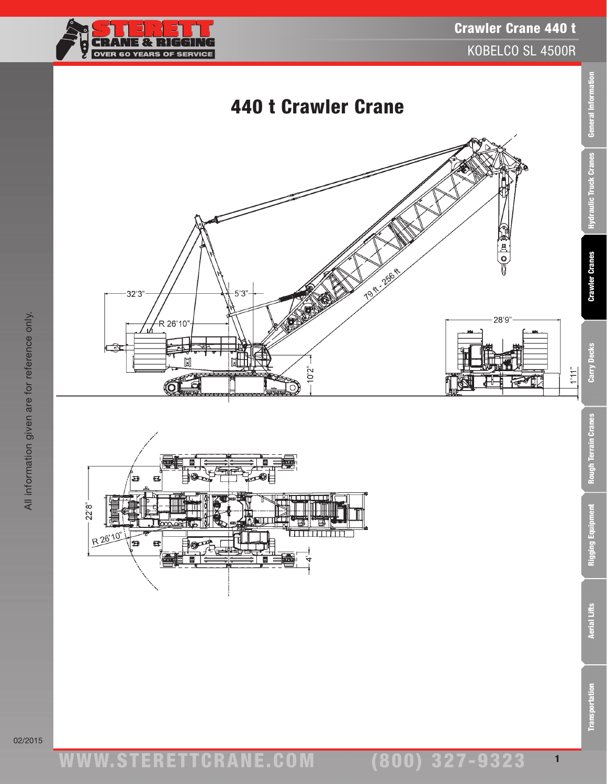

General Information

Hydraulic Truck Cranes

**Crawler Cranes** 

Carry Decks

 $\frac{1}{a}L\left\vert \downarrow\right\vert \downarrow$ 







**Transportation**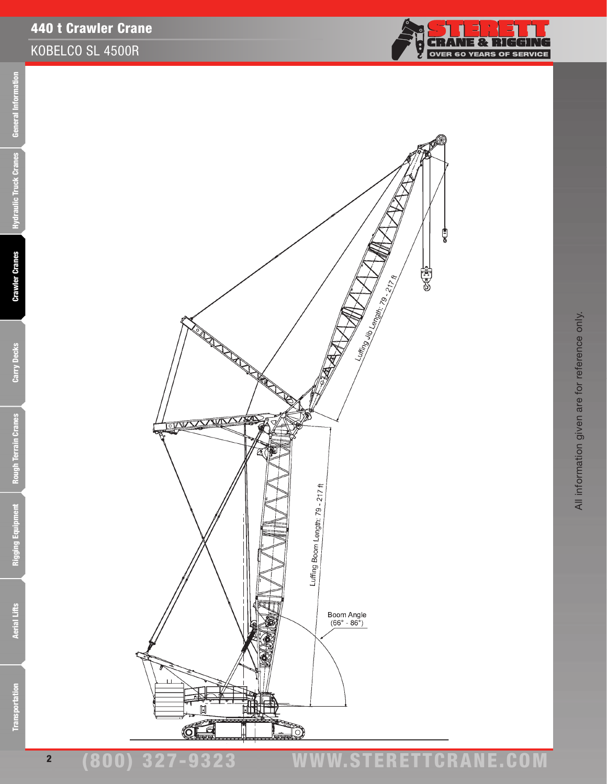

₫



**Aerial Lifts** 

# (800) 327-9323 www.STERETTCRAnE.Com

**Crawler Cranes** 

Carry Decks

**Rough Terrain Cranes** 

Rigging Equipment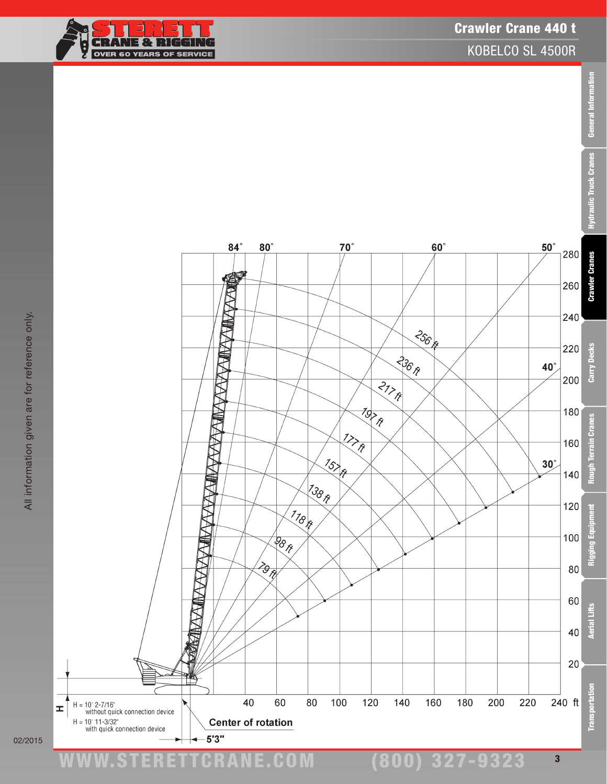

Crawler Crane 440 t

KOBELCO SL 4500R

 $50^\circ$ 

 $40^\circ$ 

 $30^\circ$ 

280

260

240

220

200

180

160

140

120

100

80

60

40

20

240 ft

**Crawler Cranes** 

Carry Decks

errain Cranes

Rough 1

oment

Rigging Equ

**Aerial Lifts** 

ā

**Transportat** 

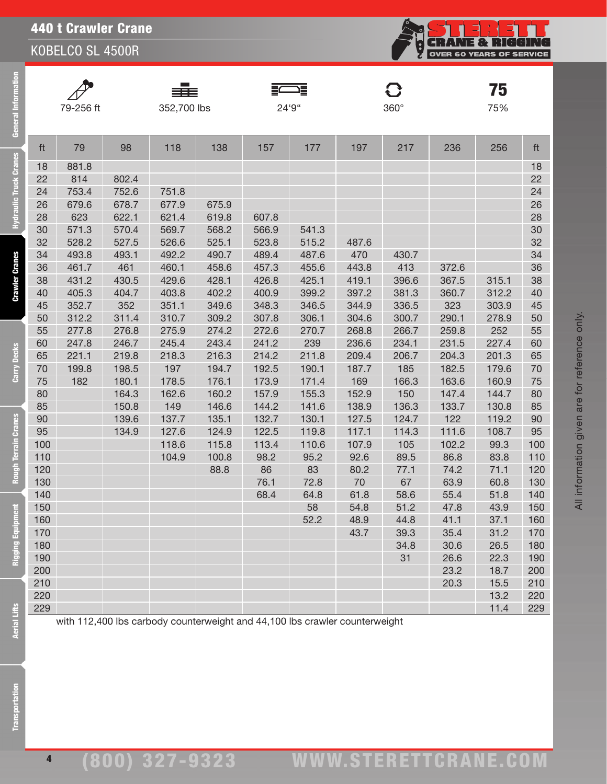

| $\overline{I}$ |
|----------------|

General Information

**Hydraulic Truck Cranes** 

**Crawler Cranes** 

Carry Decks

**Rough Terrain Cranes** 

Rigging Equipment

—<br>79-256 ft 352,700 lbs 24'9" 360°



**75**<br>75%

| ft  | 79    | 98    | 118   | 138   | 157   | 177   | 197   | 217   | 236   | 256   | ft  |
|-----|-------|-------|-------|-------|-------|-------|-------|-------|-------|-------|-----|
| 18  | 881.8 |       |       |       |       |       |       |       |       |       | 18  |
| 22  | 814   | 802.4 |       |       |       |       |       |       |       |       | 22  |
| 24  | 753.4 | 752.6 | 751.8 |       |       |       |       |       |       |       | 24  |
| 26  | 679.6 | 678.7 | 677.9 | 675.9 |       |       |       |       |       |       | 26  |
| 28  | 623   | 622.1 | 621.4 | 619.8 | 607.8 |       |       |       |       |       | 28  |
| 30  | 571.3 | 570.4 | 569.7 | 568.2 | 566.9 | 541.3 |       |       |       |       | 30  |
| 32  | 528.2 | 527.5 | 526.6 | 525.1 | 523.8 | 515.2 | 487.6 |       |       |       | 32  |
| 34  | 493.8 | 493.1 | 492.2 | 490.7 | 489.4 | 487.6 | 470   | 430.7 |       |       | 34  |
| 36  | 461.7 | 461   | 460.1 | 458.6 | 457.3 | 455.6 | 443.8 | 413   | 372.6 |       | 36  |
| 38  | 431.2 | 430.5 | 429.6 | 428.1 | 426.8 | 425.1 | 419.1 | 396.6 | 367.5 | 315.1 | 38  |
| 40  | 405.3 | 404.7 | 403.8 | 402.2 | 400.9 | 399.2 | 397.2 | 381.3 | 360.7 | 312.2 | 40  |
| 45  | 352.7 | 352   | 351.1 | 349.6 | 348.3 | 346.5 | 344.9 | 336.5 | 323   | 303.9 | 45  |
| 50  | 312.2 | 311.4 | 310.7 | 309.2 | 307.8 | 306.1 | 304.6 | 300.7 | 290.1 | 278.9 | 50  |
| 55  | 277.8 | 276.8 | 275.9 | 274.2 | 272.6 | 270.7 | 268.8 | 266.7 | 259.8 | 252   | 55  |
| 60  | 247.8 | 246.7 | 245.4 | 243.4 | 241.2 | 239   | 236.6 | 234.1 | 231.5 | 227.4 | 60  |
| 65  | 221.1 | 219.8 | 218.3 | 216.3 | 214.2 | 211.8 | 209.4 | 206.7 | 204.3 | 201.3 | 65  |
| 70  | 199.8 | 198.5 | 197   | 194.7 | 192.5 | 190.1 | 187.7 | 185   | 182.5 | 179.6 | 70  |
| 75  | 182   | 180.1 | 178.5 | 176.1 | 173.9 | 171.4 | 169   | 166.3 | 163.6 | 160.9 | 75  |
| 80  |       | 164.3 | 162.6 | 160.2 | 157.9 | 155.3 | 152.9 | 150   | 147.4 | 144.7 | 80  |
| 85  |       | 150.8 | 149   | 146.6 | 144.2 | 141.6 | 138.9 | 136.3 | 133.7 | 130.8 | 85  |
| 90  |       | 139.6 | 137.7 | 135.1 | 132.7 | 130.1 | 127.5 | 124.7 | 122   | 119.2 | 90  |
| 95  |       | 134.9 | 127.6 | 124.9 | 122.5 | 119.8 | 117.1 | 114.3 | 111.6 | 108.7 | 95  |
| 100 |       |       | 118.6 | 115.8 | 113.4 | 110.6 | 107.9 | 105   | 102.2 | 99.3  | 100 |
| 110 |       |       | 104.9 | 100.8 | 98.2  | 95.2  | 92.6  | 89.5  | 86.8  | 83.8  | 110 |
| 120 |       |       |       | 88.8  | 86    | 83    | 80.2  | 77.1  | 74.2  | 71.1  | 120 |
| 130 |       |       |       |       | 76.1  | 72.8  | 70    | 67    | 63.9  | 60.8  | 130 |
| 140 |       |       |       |       | 68.4  | 64.8  | 61.8  | 58.6  | 55.4  | 51.8  | 140 |
| 150 |       |       |       |       |       | 58    | 54.8  | 51.2  | 47.8  | 43.9  | 150 |
| 160 |       |       |       |       |       | 52.2  | 48.9  | 44.8  | 41.1  | 37.1  | 160 |
| 170 |       |       |       |       |       |       | 43.7  | 39.3  | 35.4  | 31.2  | 170 |
| 180 |       |       |       |       |       |       |       | 34.8  | 30.6  | 26.5  | 180 |
| 190 |       |       |       |       |       |       |       | 31    | 26.6  | 22.3  | 190 |
| 200 |       |       |       |       |       |       |       |       | 23.2  | 18.7  | 200 |
| 210 |       |       |       |       |       |       |       |       | 20.3  | 15.5  | 210 |
| 220 |       |       |       |       |       |       |       |       |       | 13.2  | 220 |
| 229 |       |       |       |       |       |       |       |       |       | 11.4  | 229 |

All information given are for reference only.

with 112,400 lbs carbody counterweight and 44,100 lbs crawler counterweight

**Aerial Lifts**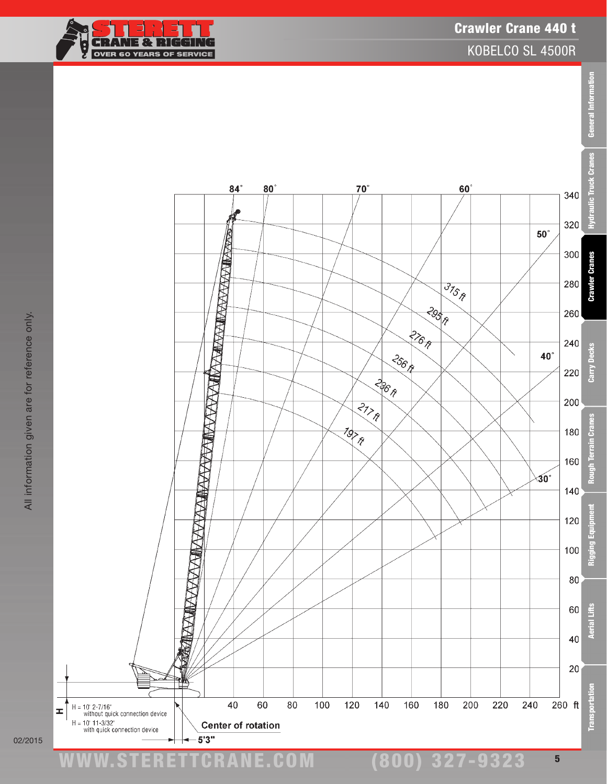# Crawler Crane 440 t

KOBELCO SL 4500R





02/2015

≖

www.STERETTCRAnE.Com

(800) 327-9323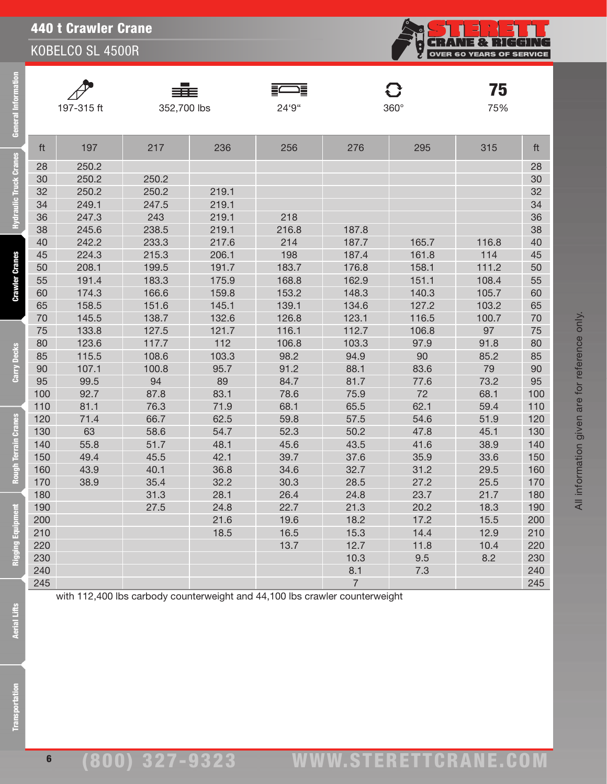

| <b>General Information</b>    |     | 197-315 ft | ≡≣≡<br>352,700 lbs |       | 這<br>24'9"                                                                  |                | $\mathbf G$<br>$360^\circ$ | 75<br>75% |     |
|-------------------------------|-----|------------|--------------------|-------|-----------------------------------------------------------------------------|----------------|----------------------------|-----------|-----|
|                               |     |            |                    |       |                                                                             |                |                            |           |     |
|                               | ft  | 197        | 217                | 236   | 256                                                                         | 276            | 295                        | 315       | ft  |
| <b>Hydraulic Truck Cranes</b> | 28  | 250.2      |                    |       |                                                                             |                |                            |           | 28  |
|                               | 30  | 250.2      | 250.2              |       |                                                                             |                |                            |           | 30  |
|                               | 32  | 250.2      | 250.2              | 219.1 |                                                                             |                |                            |           | 32  |
|                               | 34  | 249.1      | 247.5              | 219.1 |                                                                             |                |                            |           | 34  |
|                               | 36  | 247.3      | 243                | 219.1 | 218                                                                         |                |                            |           | 36  |
|                               | 38  | 245.6      | 238.5              | 219.1 | 216.8                                                                       | 187.8          |                            |           | 38  |
|                               | 40  | 242.2      | 233.3              | 217.6 | 214                                                                         | 187.7          | 165.7                      | 116.8     | 40  |
|                               | 45  | 224.3      | 215.3              | 206.1 | 198                                                                         | 187.4          | 161.8                      | 114       | 45  |
| <b>Crawler Cranes</b>         | 50  | 208.1      | 199.5              | 191.7 | 183.7                                                                       | 176.8          | 158.1                      | 111.2     | 50  |
|                               | 55  | 191.4      | 183.3              | 175.9 | 168.8                                                                       | 162.9          | 151.1                      | 108.4     | 55  |
|                               | 60  | 174.3      | 166.6              | 159.8 | 153.2                                                                       | 148.3          | 140.3                      | 105.7     | 60  |
|                               | 65  | 158.5      | 151.6              | 145.1 | 139.1                                                                       | 134.6          | 127.2                      | 103.2     | 65  |
|                               | 70  | 145.5      | 138.7              | 132.6 | 126.8                                                                       | 123.1          | 116.5                      | 100.7     | 70  |
|                               | 75  | 133.8      | 127.5              | 121.7 | 116.1                                                                       | 112.7          | 106.8                      | 97        | 75  |
|                               | 80  | 123.6      | 117.7              | 112   | 106.8                                                                       | 103.3          | 97.9                       | 91.8      | 80  |
| Carry Decks                   | 85  | 115.5      | 108.6              | 103.3 | 98.2                                                                        | 94.9           | 90                         | 85.2      | 85  |
|                               | 90  | 107.1      | 100.8              | 95.7  | 91.2                                                                        | 88.1           | 83.6                       | 79        | 90  |
|                               | 95  | 99.5       | 94                 | 89    | 84.7                                                                        | 81.7           | 77.6                       | 73.2      | 95  |
|                               | 100 | 92.7       | 87.8               | 83.1  | 78.6                                                                        | 75.9           | 72                         | 68.1      | 10C |
|                               | 110 | 81.1       | 76.3               | 71.9  | 68.1                                                                        | 65.5           | 62.1                       | 59.4      | 110 |
|                               | 120 | 71.4       | 66.7               | 62.5  | 59.8                                                                        | 57.5           | 54.6                       | 51.9      | 120 |
|                               | 130 | 63         | 58.6               | 54.7  | 52.3                                                                        | 50.2           | 47.8                       | 45.1      | 130 |
|                               | 140 | 55.8       | 51.7               | 48.1  | 45.6                                                                        | 43.5           | 41.6                       | 38.9      | 140 |
| Rough Terrain Cranes          | 150 | 49.4       | 45.5               | 42.1  | 39.7                                                                        | 37.6           | 35.9                       | 33.6      | 150 |
|                               | 160 | 43.9       | 40.1               | 36.8  | 34.6                                                                        | 32.7           | 31.2                       | 29.5      | 160 |
|                               | 170 | 38.9       | 35.4               | 32.2  | 30.3                                                                        | 28.5           | 27.2                       | 25.5      | 170 |
|                               | 180 |            | 31.3               | 28.1  | 26.4                                                                        | 24.8           | 23.7                       | 21.7      | 180 |
|                               | 190 |            | 27.5               | 24.8  | 22.7                                                                        | 21.3           | 20.2                       | 18.3      | 190 |
|                               | 200 |            |                    | 21.6  | 19.6                                                                        | 18.2           | 17.2                       | 15.5      | 200 |
|                               | 210 |            |                    | 18.5  | 16.5                                                                        | 15.3           | 14.4                       | 12.9      | 210 |
| <b>Rigging Equipment</b>      | 220 |            |                    |       | 13.7                                                                        | 12.7           | 11.8                       | 10.4      | 220 |
|                               | 230 |            |                    |       |                                                                             | 10.3           | 9.5                        | 8.2       | 230 |
|                               | 240 |            |                    |       |                                                                             | 8.1            | 7.3                        |           | 240 |
|                               | 245 |            |                    |       |                                                                             | $\overline{7}$ |                            |           | 245 |
| <b>Aerial Lifts</b>           |     |            |                    |       | with 112,400 lbs carbody counterweight and 44,100 lbs crawler counterweight |                |                            |           |     |
| <b>Transportation</b>         |     |            |                    |       |                                                                             |                |                            |           |     |

All information given are for reference only.

All information given are for reference only.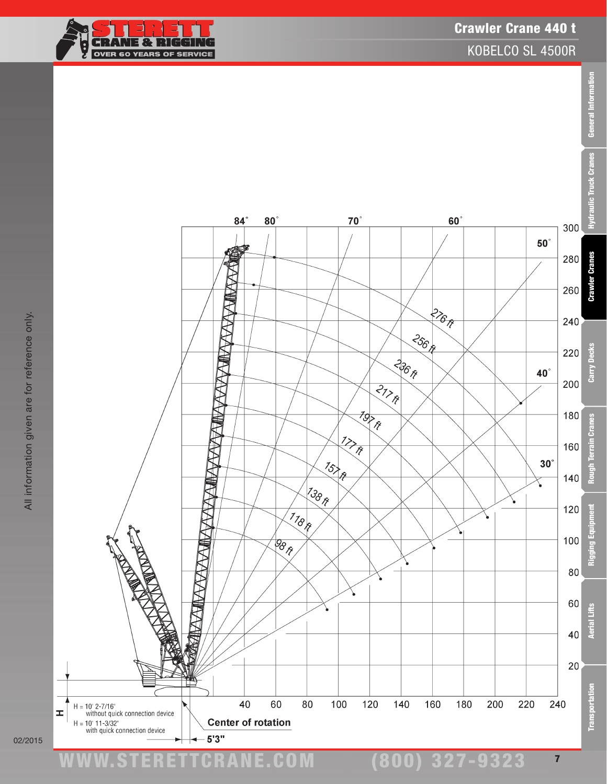

### Crawler Crane 440 t

KOBELCO SL 4500R

General Information



All information given are for reference only.

All information given are for reference only.



(800) 327-9323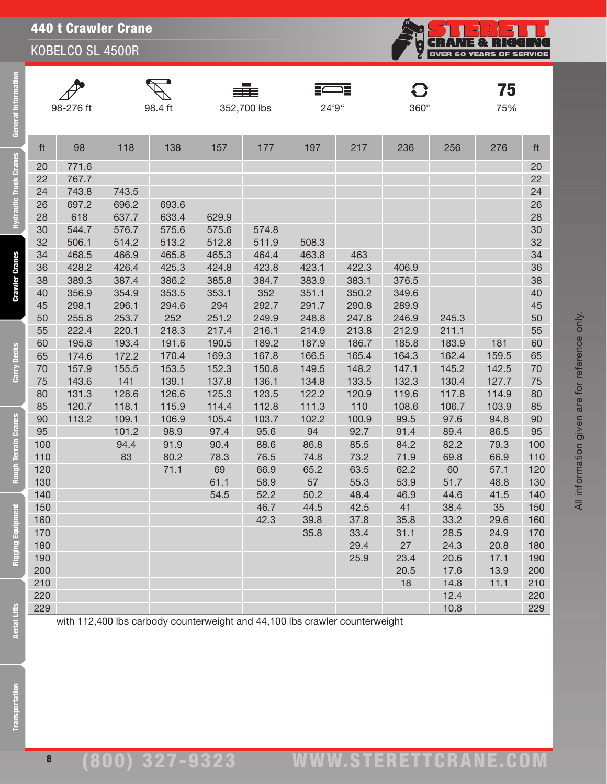**CRANE & RIGGING**<br>OVER 60 YEARS OF SERVICE <u>်</u><br>မ

General Information

**Hydraulic Truck Cranes** 

**Crawler Cranes** 

Carry Decks

**Rough Terrain Cranes** 

Rigging Equipment









 $\mathbf G$ 

<sub>75%</sub>

All information given are for reference only.

All information given are for reference only.

| ft  | 98    | 118   | 138   | 157   | 177   | 197   | 217   | 236   | 256   | 276   | ft  |
|-----|-------|-------|-------|-------|-------|-------|-------|-------|-------|-------|-----|
| 20  | 771.6 |       |       |       |       |       |       |       |       |       | 20  |
| 22  | 767.7 |       |       |       |       |       |       |       |       |       | 22  |
| 24  | 743.8 | 743.5 |       |       |       |       |       |       |       |       | 24  |
| 26  | 697.2 | 696.2 | 693.6 |       |       |       |       |       |       |       | 26  |
| 28  | 618   | 637.7 | 633.4 | 629.9 |       |       |       |       |       |       | 28  |
| 30  | 544.7 | 576.7 | 575.6 | 575.6 | 574.8 |       |       |       |       |       | 30  |
| 32  | 506.1 | 514.2 | 513.2 | 512.8 | 511.9 | 508.3 |       |       |       |       | 32  |
| 34  | 468.5 | 466.9 | 465.8 | 465.3 | 464.4 | 463.8 | 463   |       |       |       | 34  |
| 36  | 428.2 | 426.4 | 425.3 | 424.8 | 423.8 | 423.1 | 422.3 | 406.9 |       |       | 36  |
| 38  | 389.3 | 387.4 | 386.2 | 385.8 | 384.7 | 383.9 | 383.1 | 376.5 |       |       | 38  |
| 40  | 356.9 | 354.9 | 353.5 | 353.1 | 352   | 351.1 | 350.2 | 349.6 |       |       | 40  |
| 45  | 298.1 | 296.1 | 294.6 | 294   | 292.7 | 291.7 | 290.8 | 289.9 |       |       | 45  |
| 50  | 255.8 | 253.7 | 252   | 251.2 | 249.9 | 248.8 | 247.8 | 246.9 | 245.3 |       | 50  |
| 55  | 222.4 | 220.1 | 218.3 | 217.4 | 216.1 | 214.9 | 213.8 | 212.9 | 211.1 |       | 55  |
| 60  | 195.8 | 193.4 | 191.6 | 190.5 | 189.2 | 187.9 | 186.7 | 185.8 | 183.9 | 181   | 60  |
| 65  | 174.6 | 172.2 | 170.4 | 169.3 | 167.8 | 166.5 | 165.4 | 164.3 | 162.4 | 159.5 | 65  |
| 70  | 157.9 | 155.5 | 153.5 | 152.3 | 150.8 | 149.5 | 148.2 | 147.1 | 145.2 | 142.5 | 70  |
| 75  | 143.6 | 141   | 139.1 | 137.8 | 136.1 | 134.8 | 133.5 | 132.3 | 130.4 | 127.7 | 75  |
| 80  | 131.3 | 128.6 | 126.6 | 125.3 | 123.5 | 122.2 | 120.9 | 119.6 | 117.8 | 114.9 | 80  |
| 85  | 120.7 | 118.1 | 115.9 | 114.4 | 112.8 | 111.3 | 110   | 108.6 | 106.7 | 103.9 | 85  |
| 90  | 113.2 | 109.1 | 106.9 | 105.4 | 103.7 | 102.2 | 100.9 | 99.5  | 97.6  | 94.8  | 90  |
| 95  |       | 101.2 | 98.9  | 97.4  | 95.6  | 94    | 92.7  | 91.4  | 89.4  | 86.5  | 95  |
| 100 |       | 94.4  | 91.9  | 90.4  | 88.6  | 86.8  | 85.5  | 84.2  | 82.2  | 79.3  | 100 |
| 110 |       | 83    | 80.2  | 78.3  | 76.5  | 74.8  | 73.2  | 71.9  | 69.8  | 66.9  | 110 |
| 120 |       |       | 71.1  | 69    | 66.9  | 65.2  | 63.5  | 62.2  | 60    | 57.1  | 120 |
| 130 |       |       |       | 61.1  | 58.9  | 57    | 55.3  | 53.9  | 51.7  | 48.8  | 130 |
| 140 |       |       |       | 54.5  | 52.2  | 50.2  | 48.4  | 46.9  | 44.6  | 41.5  | 140 |
| 150 |       |       |       |       | 46.7  | 44.5  | 42.5  | 41    | 38.4  | 35    | 150 |
| 160 |       |       |       |       | 42.3  | 39.8  | 37.8  | 35.8  | 33.2  | 29.6  | 160 |
| 170 |       |       |       |       |       | 35.8  | 33.4  | 31.1  | 28.5  | 24.9  | 170 |
| 180 |       |       |       |       |       |       | 29.4  | 27    | 24.3  | 20.8  | 180 |
| 190 |       |       |       |       |       |       | 25.9  | 23.4  | 20.6  | 17.1  | 190 |
| 200 |       |       |       |       |       |       |       | 20.5  | 17.6  | 13.9  | 200 |
| 210 |       |       |       |       |       |       |       | 18    | 14.8  | 11.1  | 210 |
| 220 |       |       |       |       |       |       |       |       | 12.4  |       | 220 |
| 229 |       |       |       |       |       |       |       |       | 10.8  |       | 229 |

with 112,400 lbs carbody counterweight and 44,100 lbs crawler counterweight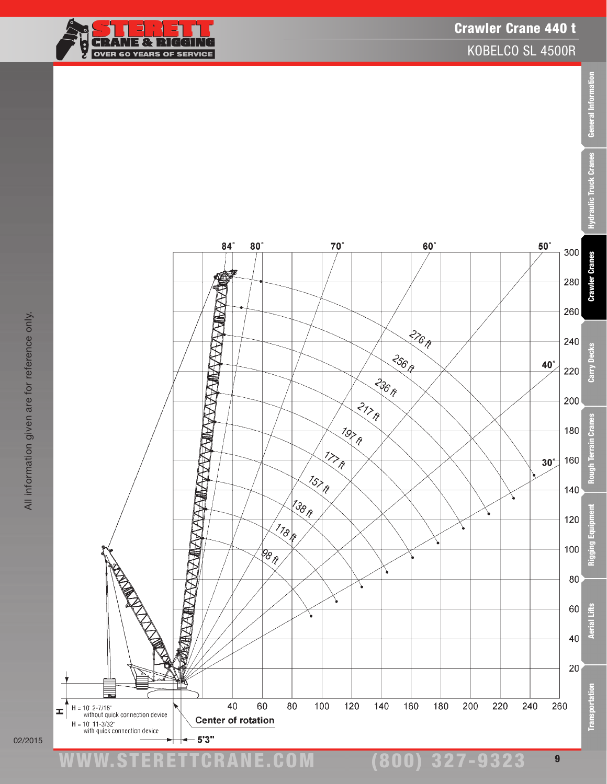#### **RANE & RIGGIN** G ÷ OVER 60 YEARS OF SERVICE

Crawler Crane 440 t

KOBELCO SL 4500R



02/2015



www.STERETTCRAnE.Com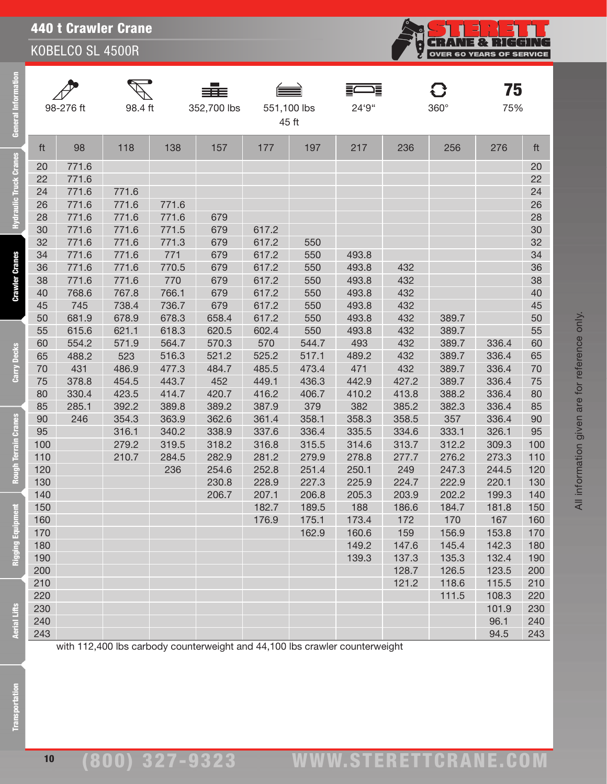|--|

| <b>General Information</b>    |            | 98-276 ft      | 98.4 ft |       | 352,700 lbs                                                                 | 551,100 lbs | 45 ft          | 24'9"          |            | C<br>$360^\circ$ | 75<br>75%    |            |
|-------------------------------|------------|----------------|---------|-------|-----------------------------------------------------------------------------|-------------|----------------|----------------|------------|------------------|--------------|------------|
|                               | ft         | 98             | 118     | 138   | 157                                                                         | 177         | 197            | 217            | 236        | 256              | 276          | ft         |
| <b>Hydraulic Truck Cranes</b> |            |                |         |       |                                                                             |             |                |                |            |                  |              |            |
|                               | 20<br>22   | 771.6<br>771.6 |         |       |                                                                             |             |                |                |            |                  |              | 20<br>22   |
|                               | 24         | 771.6          | 771.6   |       |                                                                             |             |                |                |            |                  |              | 24         |
|                               | 26         | 771.6          | 771.6   | 771.6 |                                                                             |             |                |                |            |                  |              | 26         |
|                               | 28         | 771.6          | 771.6   | 771.6 | 679                                                                         |             |                |                |            |                  |              | 28         |
|                               | 30         | 771.6          | 771.6   | 771.5 | 679                                                                         | 617.2       |                |                |            |                  |              | 30         |
|                               | 32         | 771.6          | 771.6   | 771.3 | 679                                                                         | 617.2       | 550            |                |            |                  |              | 32         |
|                               | 34         | 771.6          | 771.6   | 771   | 679                                                                         | 617.2       | 550            | 493.8          |            |                  |              | 34         |
| <b>Crawler Cranes</b>         | 36         | 771.6          | 771.6   | 770.5 | 679                                                                         | 617.2       | 550            | 493.8          | 432        |                  |              | 36         |
|                               | 38         | 771.6          | 771.6   | 770   | 679                                                                         | 617.2       | 550            | 493.8          | 432        |                  |              | 38         |
|                               | 40         | 768.6          | 767.8   | 766.1 | 679                                                                         | 617.2       | 550            | 493.8          | 432        |                  |              | 40         |
|                               | 45         | 745            | 738.4   | 736.7 | 679                                                                         | 617.2       | 550            | 493.8          | 432        |                  |              | 45         |
|                               | 50         | 681.9          | 678.9   | 678.3 | 658.4                                                                       | 617.2       | 550            | 493.8          | 432        | 389.7            |              | 50         |
|                               | 55         | 615.6          | 621.1   | 618.3 | 620.5                                                                       | 602.4       | 550            | 493.8          | 432        | 389.7            |              | 55         |
|                               | 60         | 554.2          | 571.9   | 564.7 | 570.3                                                                       | 570         | 544.7          | 493            | 432        | 389.7            | 336.4        | 60         |
| Carry Decks                   | 65         | 488.2          | 523     | 516.3 | 521.2                                                                       | 525.2       | 517.1          | 489.2          | 432        | 389.7            | 336.4        | 65         |
|                               | 70         | 431            | 486.9   | 477.3 | 484.7                                                                       | 485.5       | 473.4          | 471            | 432        | 389.7            | 336.4        | 70         |
|                               | 75         | 378.8          | 454.5   | 443.7 | 452                                                                         | 449.1       | 436.3          | 442.9          | 427.2      | 389.7            | 336.4        | 75         |
|                               | 80         | 330.4          | 423.5   | 414.7 | 420.7                                                                       | 416.2       | 406.7          | 410.2          | 413.8      | 388.2            | 336.4        | 80         |
|                               | 85         | 285.1          | 392.2   | 389.8 | 389.2                                                                       | 387.9       | 379            | 382            | 385.2      | 382.3            | 336.4        | 85         |
|                               | 90         | 246            | 354.3   | 363.9 | 362.6                                                                       | 361.4       | 358.1          | 358.3          | 358.5      | 357              | 336.4        | 90         |
|                               | 95         |                | 316.1   | 340.2 | 338.9                                                                       | 337.6       | 336.4          | 335.5          | 334.6      | 333.1            | 326.1        | 95         |
|                               | 100        |                | 279.2   | 319.5 | 318.2                                                                       | 316.8       | 315.5          | 314.6          | 313.7      | 312.2            | 309.3        | 100        |
|                               | 110        |                | 210.7   | 284.5 | 282.9                                                                       | 281.2       | 279.9          | 278.8          | 277.7      | 276.2            | 273.3        | 110        |
| <b>Rough Terrain Cranes</b>   | 120        |                |         | 236   | 254.6                                                                       | 252.8       | 251.4          | 250.1          | 249        | 247.3            | 244.5        | 120        |
|                               | 130        |                |         |       | 230.8                                                                       | 228.9       | 227.3          | 225.9          | 224.7      | 222.9            | 220.1        | 130        |
|                               | 140        |                |         |       | 206.7                                                                       | 207.1       | 206.8          | 205.3          | 203.9      | 202.2            | 199.3        | 140        |
|                               | 150        |                |         |       |                                                                             | 182.7       | 189.5          | 188            | 186.6      | 184.7            | 181.8<br>167 | 150        |
| Rigging Equipment             | 160<br>170 |                |         |       |                                                                             | 176.9       | 175.1<br>162.9 | 173.4<br>160.6 | 172<br>159 | 170<br>156.9     | 153.8        | 160<br>170 |
|                               | 180        |                |         |       |                                                                             |             |                | 149.2          | 147.6      | 145.4            | 142.3        | 180        |
|                               | 190        |                |         |       |                                                                             |             |                | 139.3          | 137.3      | 135.3            | 132.4        | 190        |
|                               | 200        |                |         |       |                                                                             |             |                |                | 128.7      | 126.5            | 123.5        | 200        |
|                               | 210        |                |         |       |                                                                             |             |                |                | 121.2      | 118.6            | 115.5        | 210        |
|                               | 220        |                |         |       |                                                                             |             |                |                |            | 111.5            | 108.3        | 220        |
|                               | 230        |                |         |       |                                                                             |             |                |                |            |                  | 101.9        | 230        |
| <b>Aerial Lifts</b>           | 240        |                |         |       |                                                                             |             |                |                |            |                  | 96.1         | 240        |
|                               | 243        |                |         |       |                                                                             |             |                |                |            |                  | 94.5         | 243        |
| <b>Transportation</b>         |            |                |         |       | with 112,400 lbs carbody counterweight and 44,100 lbs crawler counterweight |             |                |                |            |                  |              |            |

**CRANE & RIGGING**<br>OVER 60 YEARS OF SERVICE

i<br>M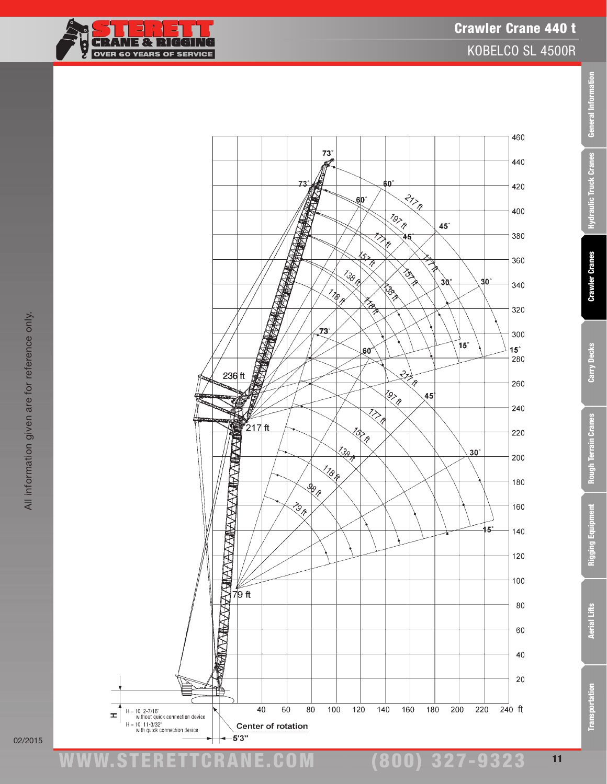

General Information

**Hydraulic Truck Cranes** 

**Crawler Cranes** 

Carry Decks

**Rough Terrain Cranes** 

02/2015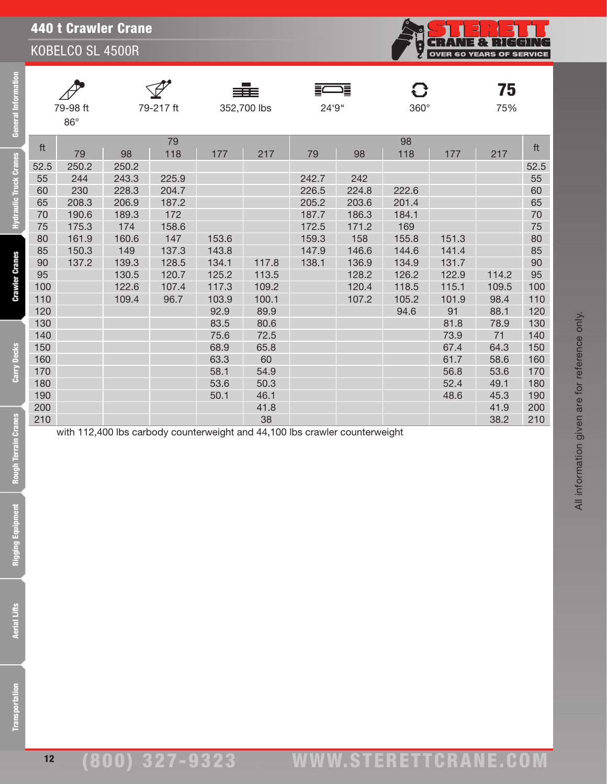## 440 t Crawler Crane

KOBELCO SL 4500R

| <b>General Information</b>                             | 79-98 ft<br>79-217 ft<br>$86^{\circ}$                                                                       |                                                                           | 352,700 lbs                                                                                          |                                                                                            |                                                                                                     | 24'9"                                                                  |                                                                      | 360°                                                                                        |                                                                                              | 75<br>75%                                                                                |                                                              |                                                                                                             |
|--------------------------------------------------------|-------------------------------------------------------------------------------------------------------------|---------------------------------------------------------------------------|------------------------------------------------------------------------------------------------------|--------------------------------------------------------------------------------------------|-----------------------------------------------------------------------------------------------------|------------------------------------------------------------------------|----------------------------------------------------------------------|---------------------------------------------------------------------------------------------|----------------------------------------------------------------------------------------------|------------------------------------------------------------------------------------------|--------------------------------------------------------------|-------------------------------------------------------------------------------------------------------------|
|                                                        | ft                                                                                                          | 79                                                                        | 98                                                                                                   | 79<br>118                                                                                  | 177                                                                                                 | 217                                                                    | 79                                                                   | 98                                                                                          | 98<br>118                                                                                    | 177                                                                                      | 217                                                          | ft                                                                                                          |
| <b>Hydraulic Truck Cranes</b><br><b>Crawler Cranes</b> | 52.5<br>55<br>60<br>65<br>70<br>75<br>80<br>85<br>90<br>95<br>100<br>110<br>120<br>130<br>140<br>150<br>160 | 250.2<br>244<br>230<br>208.3<br>190.6<br>175.3<br>161.9<br>150.3<br>137.2 | 250.2<br>243.3<br>228.3<br>206.9<br>189.3<br>174<br>160.6<br>149<br>139.3<br>130.5<br>122.6<br>109.4 | 225.9<br>204.7<br>187.2<br>172<br>158.6<br>147<br>137.3<br>128.5<br>120.7<br>107.4<br>96.7 | 153.6<br>143.8<br>134.1<br>125.2<br>117.3<br>103.9<br>92.9<br>83.5<br>75.6<br>68.9<br>63.3          | 117.8<br>113.5<br>109.2<br>100.1<br>89.9<br>80.6<br>72.5<br>65.8<br>60 | 242.7<br>226.5<br>205.2<br>187.7<br>172.5<br>159.3<br>147.9<br>138.1 | 242<br>224.8<br>203.6<br>186.3<br>171.2<br>158<br>146.6<br>136.9<br>128.2<br>120.4<br>107.2 | 222.6<br>201.4<br>184.1<br>169<br>155.8<br>144.6<br>134.9<br>126.2<br>118.5<br>105.2<br>94.6 | 151.3<br>141.4<br>131.7<br>122.9<br>115.1<br>101.9<br>91<br>81.8<br>73.9<br>67.4<br>61.7 | 114.2<br>109.5<br>98.4<br>88.1<br>78.9<br>71<br>64.3<br>58.6 | 52.5<br>55<br>60<br>65<br>70<br>75<br>80<br>85<br>90<br>95<br>100<br>110<br>120<br>130<br>140<br>150<br>160 |
| Carry Decks<br><b>Rough Terrain Cranes</b>             | 170<br>180<br>190<br>200<br>210                                                                             |                                                                           |                                                                                                      |                                                                                            | 58.1<br>53.6<br>50.1<br>with 112,400 lbs carbody counterweight and 44,100 lbs crawler counterweight | 54.9<br>50.3<br>46.1<br>41.8<br>38                                     |                                                                      |                                                                                             |                                                                                              | 56.8<br>52.4<br>48.6                                                                     | 53.6<br>49.1<br>45.3<br>41.9<br>38.2                         | 170<br>180<br>190<br>200<br>210                                                                             |
| <b>Rigging Equipment</b>                               |                                                                                                             |                                                                           |                                                                                                      |                                                                                            |                                                                                                     |                                                                        |                                                                      |                                                                                             |                                                                                              |                                                                                          |                                                              |                                                                                                             |
| <b>Aerial Lifts</b>                                    |                                                                                                             |                                                                           |                                                                                                      |                                                                                            |                                                                                                     |                                                                        |                                                                      |                                                                                             |                                                                                              |                                                                                          |                                                              |                                                                                                             |
| <b>Transportation</b>                                  |                                                                                                             |                                                                           |                                                                                                      |                                                                                            |                                                                                                     |                                                                        |                                                                      |                                                                                             |                                                                                              |                                                                                          |                                                              |                                                                                                             |

**CRANE & RIGGING**<br>OVER 60 YEARS OF SERVICE

**Aerial Lifts**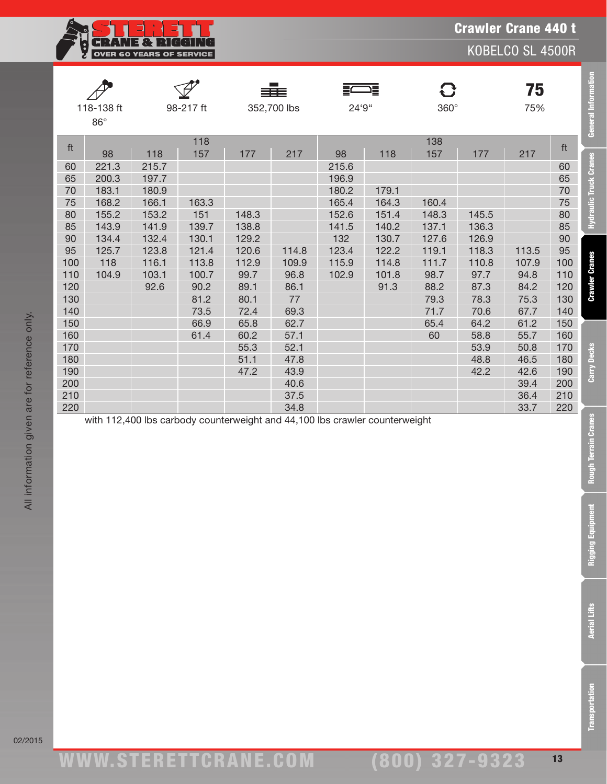Crawler Crane 440 t

KOBELCO SL 4500R

|     |            |       |           |       | ≡≣≡         |       | 這     | O           |       | 75    |     | <b>General Information</b>    |
|-----|------------|-------|-----------|-------|-------------|-------|-------|-------------|-------|-------|-----|-------------------------------|
|     | 118-138 ft |       | 98-217 ft |       | 352,700 lbs | 24'9" |       | $360^\circ$ |       | 75%   |     |                               |
|     | $86^\circ$ |       |           |       |             |       |       |             |       |       |     |                               |
|     |            |       | 118       |       |             |       |       | 138         |       |       |     |                               |
| ft  | 98         | 118   | 157       | 177   | 217         | 98    | 118   | 157         | 177   | 217   | ft  |                               |
| 60  | 221.3      | 215.7 |           |       |             | 215.6 |       |             |       |       | 60  | <b>Hydraulic Truck Cranes</b> |
| 65  | 200.3      | 197.7 |           |       |             | 196.9 |       |             |       |       | 65  |                               |
| 70  | 183.1      | 180.9 |           |       |             | 180.2 | 179.1 |             |       |       | 70  |                               |
| 75  | 168.2      | 166.1 | 163.3     |       |             | 165.4 | 164.3 | 160.4       |       |       | 75  |                               |
| 80  | 155.2      | 153.2 | 151       | 148.3 |             | 152.6 | 151.4 | 148.3       | 145.5 |       | 80  |                               |
| 85  | 143.9      | 141.9 | 139.7     | 138.8 |             | 141.5 | 140.2 | 137.1       | 136.3 |       | 85  |                               |
| 90  | 134.4      | 132.4 | 130.1     | 129.2 |             | 132   | 130.7 | 127.6       | 126.9 |       | 90  |                               |
| 95  | 125.7      | 123.8 | 121.4     | 120.6 | 114.8       | 123.4 | 122.2 | 119.1       | 118.3 | 113.5 | 95  |                               |
| 100 | 118        | 116.1 | 113.8     | 112.9 | 109.9       | 115.9 | 114.8 | 111.7       | 110.8 | 107.9 | 100 |                               |
| 110 | 104.9      | 103.1 | 100.7     | 99.7  | 96.8        | 102.9 | 101.8 | 98.7        | 97.7  | 94.8  | 110 | <b>Crawler Cranes</b>         |
| 120 |            | 92.6  | 90.2      | 89.1  | 86.1        |       | 91.3  | 88.2        | 87.3  | 84.2  | 120 |                               |
| 130 |            |       | 81.2      | 80.1  | 77          |       |       | 79.3        | 78.3  | 75.3  | 130 |                               |
| 140 |            |       | 73.5      | 72.4  | 69.3        |       |       | 71.7        | 70.6  | 67.7  | 140 |                               |
| 150 |            |       | 66.9      | 65.8  | 62.7        |       |       | 65.4        | 64.2  | 61.2  | 150 |                               |
| 160 |            |       | 61.4      | 60.2  | 57.1        |       |       | 60          | 58.8  | 55.7  | 160 |                               |
| 170 |            |       |           | 55.3  | 52.1        |       |       |             | 53.9  | 50.8  | 170 |                               |
| 180 |            |       |           | 51.1  | 47.8        |       |       |             | 48.8  | 46.5  | 180 | Carry Decks                   |
| 190 |            |       |           | 47.2  | 43.9        |       |       |             | 42.2  | 42.6  | 190 |                               |
| 200 |            |       |           |       | 40.6        |       |       |             |       | 39.4  | 200 |                               |
| 210 |            |       |           |       | 37.5        |       |       |             |       | 36.4  | 210 |                               |

220 34.8 33.7 220

with 112,400 lbs carbody counterweight and 44,100 lbs crawler counterweight

**Rough Terrain Cranes** 

**Transportation** 

www.STERETTCRAnE.Com

**CRANE & RIGGING** OVER 60 YEARS OF SERVICE

ww.TDKv.com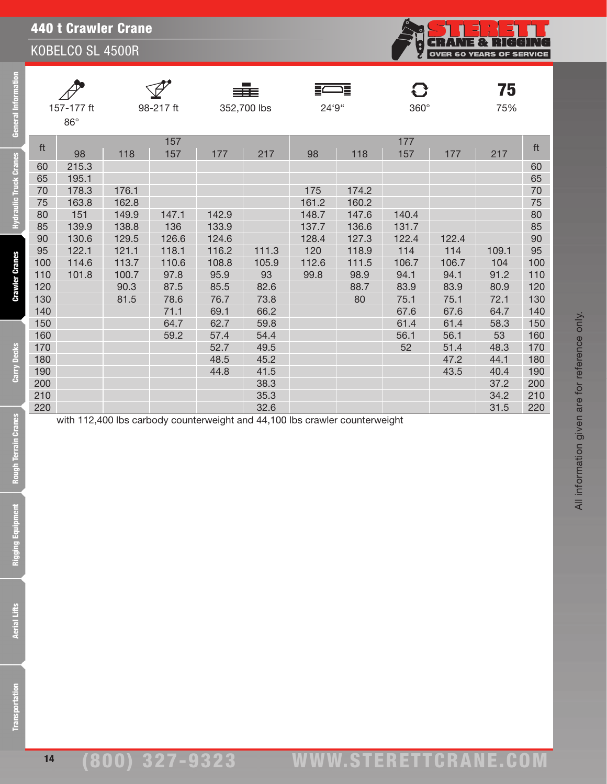## 440 t Crawler Crane

KOBELCO SL 4500R

|     |              |       |           |       |             |       | ē     |             |       | 75    |     |
|-----|--------------|-------|-----------|-------|-------------|-------|-------|-------------|-------|-------|-----|
|     | 157-177 ft   |       | 98-217 ft |       | 352,700 lbs | 24'9" |       | $360^\circ$ |       | 75%   |     |
|     | $86^{\circ}$ |       |           |       |             |       |       |             |       |       |     |
|     |              |       | 157       |       |             |       |       | 177         |       |       |     |
| ft  | 98           | 118   | 157       | 177   | 217         | 98    | 118   | 157         | 177   | 217   | ft  |
| 60  | 215.3        |       |           |       |             |       |       |             |       |       | 60  |
| 65  | 195.1        |       |           |       |             |       |       |             |       |       | 65  |
| 70  | 178.3        | 176.1 |           |       |             | 175   | 174.2 |             |       |       | 70  |
| 75  | 163.8        | 162.8 |           |       |             | 161.2 | 160.2 |             |       |       | 75  |
| 80  | 151          | 149.9 | 147.1     | 142.9 |             | 148.7 | 147.6 | 140.4       |       |       | 80  |
| 85  | 139.9        | 138.8 | 136       | 133.9 |             | 137.7 | 136.6 | 131.7       |       |       | 85  |
| 90  | 130.6        | 129.5 | 126.6     | 124.6 |             | 128.4 | 127.3 | 122.4       | 122.4 |       | 90  |
| 95  | 122.1        | 121.1 | 118.1     | 116.2 | 111.3       | 120   | 118.9 | 114         | 114   | 109.1 | 95  |
| 100 | 114.6        | 113.7 | 110.6     | 108.8 | 105.9       | 112.6 | 111.5 | 106.7       | 106.7 | 104   | 100 |
| 110 | 101.8        | 100.7 | 97.8      | 95.9  | 93          | 99.8  | 98.9  | 94.1        | 94.1  | 91.2  | 110 |
| 120 |              | 90.3  | 87.5      | 85.5  | 82.6        |       | 88.7  | 83.9        | 83.9  | 80.9  | 120 |
| 130 |              | 81.5  | 78.6      | 76.7  | 73.8        |       | 80    | 75.1        | 75.1  | 72.1  | 130 |
| 140 |              |       | 71.1      | 69.1  | 66.2        |       |       | 67.6        | 67.6  | 64.7  | 140 |
| 150 |              |       | 64.7      | 62.7  | 59.8        |       |       | 61.4        | 61.4  | 58.3  | 150 |
| 160 |              |       | 59.2      | 57.4  | 54.4        |       |       | 56.1        | 56.1  | 53    | 160 |
| 170 |              |       |           | 52.7  | 49.5        |       |       | 52          | 51.4  | 48.3  | 170 |
| 180 |              |       |           | 48.5  | 45.2        |       |       |             | 47.2  | 44.1  | 180 |
| 190 |              |       |           | 44.8  | 41.5        |       |       |             | 43.5  | 40.4  | 190 |
| 200 |              |       |           |       | 38.3        |       |       |             |       | 37.2  | 200 |
| 210 |              |       |           |       | 35.3        |       |       |             |       | 34.2  | 210 |
| 220 |              |       |           |       | 32.6        |       |       |             |       | 31.5  | 220 |

with 112,400 lbs carbody counterweight and 44,100 lbs crawler counterweight

**Aerial Lifts** 

14

All information given are for reference only.

All information given are for reference only.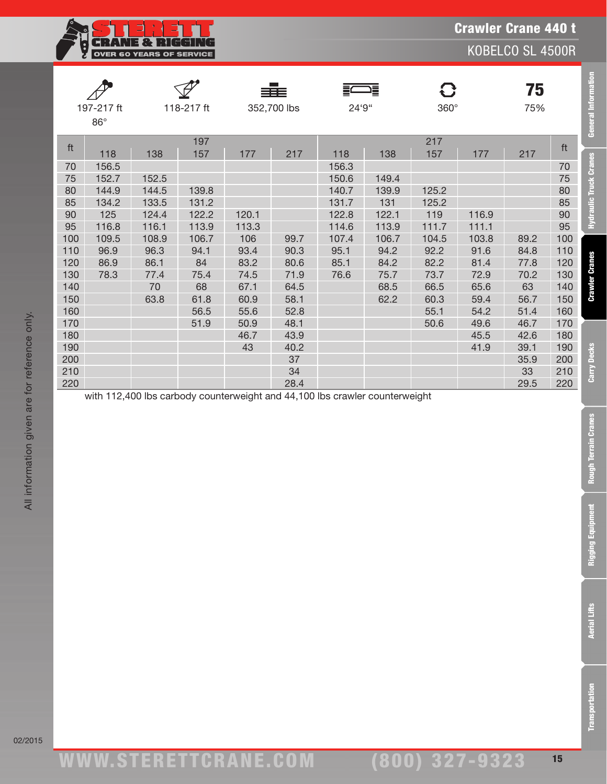Crawler Crane 440 t

KOBELCO SL 4500R

|     |            |       |            |       | sis:        |       | 這     | 8     |       | 75   |     | <b>General Information</b>    |
|-----|------------|-------|------------|-------|-------------|-------|-------|-------|-------|------|-----|-------------------------------|
|     | 197-217 ft |       | 118-217 ft |       | 352,700 lbs | 24'9" |       | 360°  |       | 75%  |     |                               |
|     | $86^\circ$ |       |            |       |             |       |       |       |       |      |     |                               |
|     |            |       | 197        |       |             |       |       | 217   |       |      |     |                               |
| ft  | 118        | 138   | 157        | 177   | 217         | 118   | 138   | 157   | 177   | 217  | ft  |                               |
| 70  | 156.5      |       |            |       |             | 156.3 |       |       |       |      | 70  |                               |
| 75  | 152.7      | 152.5 |            |       |             | 150.6 | 149.4 |       |       |      | 75  |                               |
| 80  | 144.9      | 144.5 | 139.8      |       |             | 140.7 | 139.9 | 125.2 |       |      | 80  |                               |
| 85  | 134.2      | 133.5 | 131.2      |       |             | 131.7 | 131   | 125.2 |       |      | 85  |                               |
| 90  | 125        | 124.4 | 122.2      | 120.1 |             | 122.8 | 122.1 | 119   | 116.9 |      | 90  | <b>Hydraulic Truck Cranes</b> |
| 95  | 116.8      | 116.1 | 113.9      | 113.3 |             | 114.6 | 113.9 | 111.7 | 111.1 |      | 95  |                               |
| 100 | 109.5      | 108.9 | 106.7      | 106   | 99.7        | 107.4 | 106.7 | 104.5 | 103.8 | 89.2 | 100 |                               |
| 110 | 96.9       | 96.3  | 94.1       | 93.4  | 90.3        | 95.1  | 94.2  | 92.2  | 91.6  | 84.8 | 110 |                               |
| 120 | 86.9       | 86.1  | 84         | 83.2  | 80.6        | 85.1  | 84.2  | 82.2  | 81.4  | 77.8 | 120 |                               |
| 130 | 78.3       | 77.4  | 75.4       | 74.5  | 71.9        | 76.6  | 75.7  | 73.7  | 72.9  | 70.2 | 130 | <b>Crawler Cranes</b>         |
| 140 |            | 70    | 68         | 67.1  | 64.5        |       | 68.5  | 66.5  | 65.6  | 63   | 140 |                               |
| 150 |            | 63.8  | 61.8       | 60.9  | 58.1        |       | 62.2  | 60.3  | 59.4  | 56.7 | 150 |                               |
| 160 |            |       | 56.5       | 55.6  | 52.8        |       |       | 55.1  | 54.2  | 51.4 | 160 |                               |
| 170 |            |       | 51.9       | 50.9  | 48.1        |       |       | 50.6  | 49.6  | 46.7 | 170 |                               |
| 180 |            |       |            | 46.7  | 43.9        |       |       |       | 45.5  | 42.6 | 180 |                               |
| 190 |            |       |            | 43    | 40.2        |       |       |       | 41.9  | 39.1 | 190 |                               |
| 200 |            |       |            |       | 37          |       |       |       |       | 35.9 | 200 |                               |
| 210 |            |       |            |       | 34          |       |       |       |       | 33   | 210 | Carry Decks                   |
| 220 |            |       |            |       | 28.4        |       |       |       |       | 29.5 | 220 |                               |

with 112,400 lbs carbody counterweight and 44,100 lbs crawler counterweight

NE & RI

OVER 60 YEARS OF SERVICE

F II.

**Transportation** 

**Rough Terrain Cranes** 

**Rigging Equipment**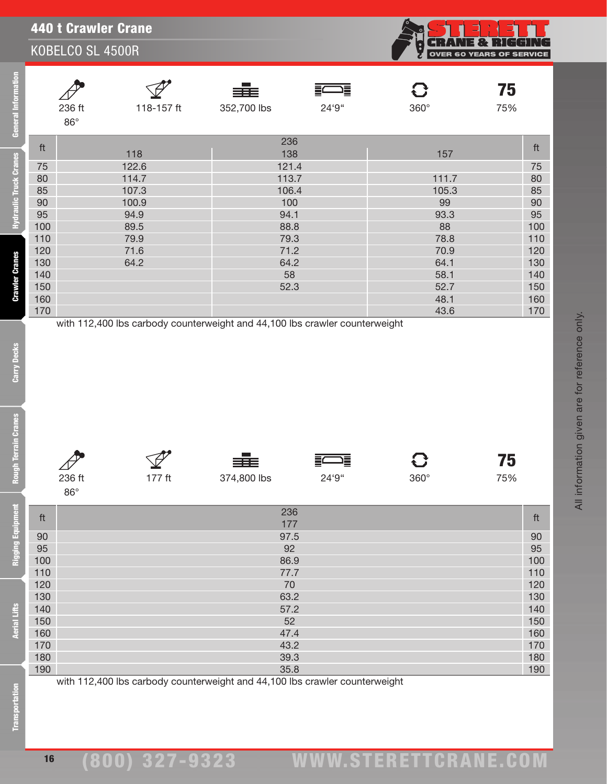| General In                                            |                                                                                          | 236 ft<br>$86^\circ$   | 118-157 ft                                                                      | 352,700 lbs                                                                                          | 24'9"      | $360^\circ$                                                                                       | 75<br>75%                                                                                |
|-------------------------------------------------------|------------------------------------------------------------------------------------------|------------------------|---------------------------------------------------------------------------------|------------------------------------------------------------------------------------------------------|------------|---------------------------------------------------------------------------------------------------|------------------------------------------------------------------------------------------|
| ulic Truck Cranes<br><b>Crawler Cranes</b>            | ft<br>75<br>80<br>85<br>90<br>95<br>100<br>110<br>120<br>130<br>140<br>150<br>160<br>170 |                        | 118<br>122.6<br>114.7<br>107.3<br>100.9<br>94.9<br>89.5<br>79.9<br>71.6<br>64.2 | 236<br>138<br>121.4<br>113.7<br>106.4<br>100<br>94.1<br>88.8<br>79.3<br>71.2<br>64.2<br>58<br>52.3   |            | 157<br>111.7<br>105.3<br>99<br>93.3<br>88<br>78.8<br>70.9<br>64.1<br>58.1<br>52.7<br>48.1<br>43.6 | ft<br>75<br>80<br>85<br>90<br>95<br>100<br>110<br>120<br>130<br>140<br>150<br>160<br>170 |
| Carry Decks<br>3<br>ò<br>Rough Terrain                |                                                                                          | 236 ft<br>$86^{\circ}$ | 177 ft                                                                          | with 112,400 lbs carbody counterweight and 44,100 lbs crawler counterweight<br>≣≡≣<br>374,800 lbs    | 這<br>24'9" | 360°                                                                                              | 75<br>75%                                                                                |
| Ene<br>Rigging Equipm<br>Aerial Lifts<br>ansportation | ft<br>90<br>95<br>100<br>110<br>120<br>130<br>140<br>150<br>160<br>170<br>180<br>190     |                        | with 112,400 lbs carbody counterweight and 44,100 lbs crawler counterweight     | 236<br>177<br>97.5<br>92<br>86.9<br>77.7<br>70<br>63.2<br>57.2<br>52<br>47.4<br>43.2<br>39.3<br>35.8 |            |                                                                                                   | ft<br>90<br>95<br>100<br>110<br>120<br>130<br>140<br>150<br>160<br>170<br>180<br>190     |

|        | ≡≡≡         |       |             | ю   |
|--------|-------------|-------|-------------|-----|
| 236 ft | 374,800 lbs | 24'9" | $360^\circ$ | 75% |





**NE & RIGGING** OVER 60 YEARS OF SERVICE

# (800) 327-9323 www.STERETTCRAnE.Com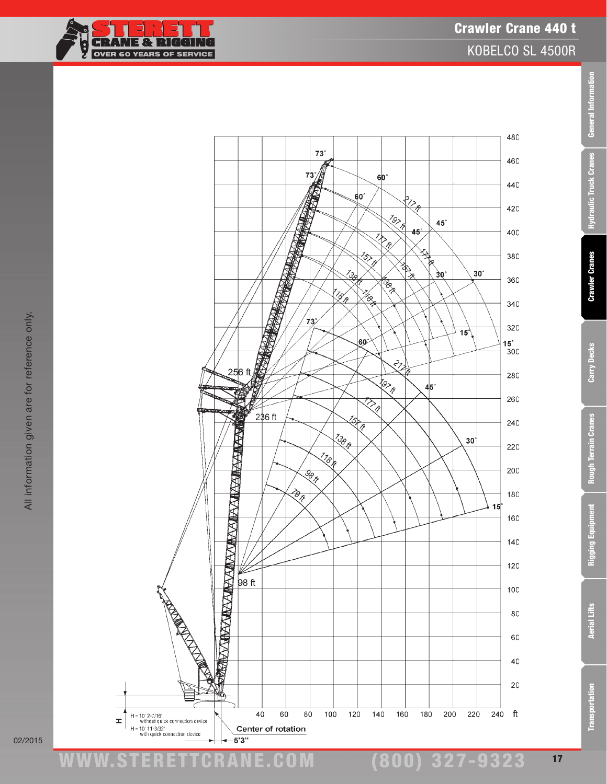

02/2015

ww.TDKv.com www.STERETTCRAnE.Com

(800) 327-9323

Transportation Aerial Lifts Rigging Equipment Rough Terrain Cranes Carry Decks Crawler Cranes Hydraulic Truck Cranes General Information

**Rough Terrain Cranes** 

Rigging Equipment

**Aerial Lifts** 

**Transportation** 

Carry Decks

General Information

**Hydraulic Truck Cranes** 

**Crawler Cranes**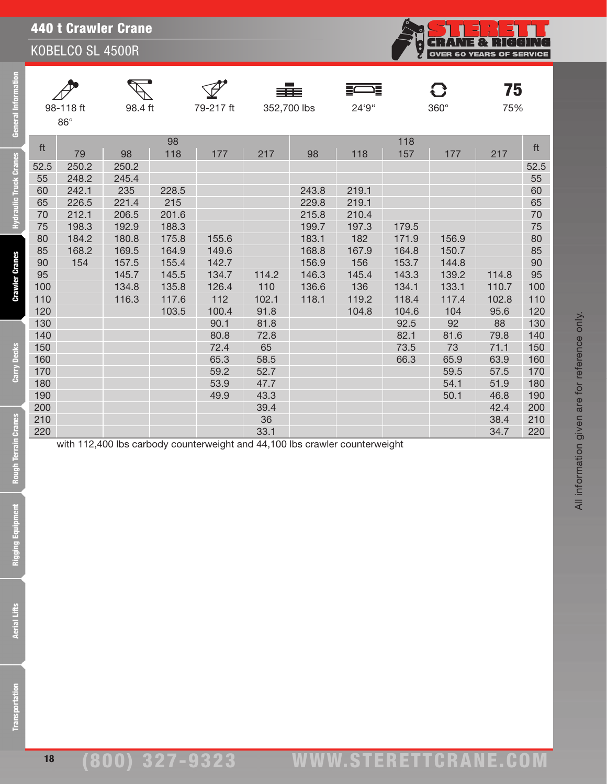| <b>440 t Crawler Crane</b> |  |
|----------------------------|--|
|                            |  |

| <b>General Information</b>                                            |                                                                                                                                        | 98-118 ft<br>$86^\circ$                                                           | 98.4 ft                                                                                                      |                                                                                                            | 79-217 ft                                                                                                                | 352,700 lbs                                                                                |                                                                                              | 24'9"                                                                                            |                                                                                                                    | 360°                                                                                                                 | 75<br>75%                                                                                    |                                                                                                                                                |
|-----------------------------------------------------------------------|----------------------------------------------------------------------------------------------------------------------------------------|-----------------------------------------------------------------------------------|--------------------------------------------------------------------------------------------------------------|------------------------------------------------------------------------------------------------------------|--------------------------------------------------------------------------------------------------------------------------|--------------------------------------------------------------------------------------------|----------------------------------------------------------------------------------------------|--------------------------------------------------------------------------------------------------|--------------------------------------------------------------------------------------------------------------------|----------------------------------------------------------------------------------------------------------------------|----------------------------------------------------------------------------------------------|------------------------------------------------------------------------------------------------------------------------------------------------|
| <b>Hydraulic Truck Cranes</b><br><b>Crawler Cranes</b><br>Carry Decks | ft<br>52.5<br>55<br>60<br>65<br>70<br>75<br>80<br>85<br>90<br>95<br>100<br>110<br>120<br>130<br>140<br>150<br>160<br>170<br>180<br>190 | 79<br>250.2<br>248.2<br>242.1<br>226.5<br>212.1<br>198.3<br>184.2<br>168.2<br>154 | 98<br>250.2<br>245.4<br>235<br>221.4<br>206.5<br>192.9<br>180.8<br>169.5<br>157.5<br>145.7<br>134.8<br>116.3 | 98<br>118<br>228.5<br>215<br>201.6<br>188.3<br>175.8<br>164.9<br>155.4<br>145.5<br>135.8<br>117.6<br>103.5 | 177<br>155.6<br>149.6<br>142.7<br>134.7<br>126.4<br>112<br>100.4<br>90.1<br>80.8<br>72.4<br>65.3<br>59.2<br>53.9<br>49.9 | 217<br>114.2<br>110<br>102.1<br>91.8<br>81.8<br>72.8<br>65<br>58.5<br>52.7<br>47.7<br>43.3 | 98<br>243.8<br>229.8<br>215.8<br>199.7<br>183.1<br>168.8<br>156.9<br>146.3<br>136.6<br>118.1 | 118<br>219.1<br>219.1<br>210.4<br>197.3<br>182<br>167.9<br>156<br>145.4<br>136<br>119.2<br>104.8 | 118<br>157<br>179.5<br>171.9<br>164.8<br>153.7<br>143.3<br>134.1<br>118.4<br>104.6<br>92.5<br>82.1<br>73.5<br>66.3 | 177<br>156.9<br>150.7<br>144.8<br>139.2<br>133.1<br>117.4<br>104<br>92<br>81.6<br>73<br>65.9<br>59.5<br>54.1<br>50.1 | 217<br>114.8<br>110.7<br>102.8<br>95.6<br>88<br>79.8<br>71.1<br>63.9<br>57.5<br>51.9<br>46.8 | ft<br>52.5<br>55<br>60<br>65<br>$70\,$<br>75<br>80<br>85<br>$90\,$<br>95<br>100<br>110<br>120<br>130<br>140<br>150<br>160<br>170<br>180<br>190 |
| <b>Rough Terrain Cranes</b>                                           | 200<br>210<br>220                                                                                                                      |                                                                                   |                                                                                                              |                                                                                                            | with 112,400 lbs carbody counterweight and 44,100 lbs crawler counterweight                                              | 39.4<br>36<br>33.1                                                                         |                                                                                              |                                                                                                  |                                                                                                                    |                                                                                                                      | 42.4<br>38.4<br>34.7                                                                         | 200<br>210<br>220                                                                                                                              |
| <b>Tield</b><br><b>Rigging Equipm</b>                                 |                                                                                                                                        |                                                                                   |                                                                                                              |                                                                                                            |                                                                                                                          |                                                                                            |                                                                                              |                                                                                                  |                                                                                                                    |                                                                                                                      |                                                                                              |                                                                                                                                                |
| <b>Aerial Lifts</b>                                                   |                                                                                                                                        |                                                                                   |                                                                                                              |                                                                                                            |                                                                                                                          |                                                                                            |                                                                                              |                                                                                                  |                                                                                                                    |                                                                                                                      |                                                                                              |                                                                                                                                                |
| <b>Transportation</b>                                                 |                                                                                                                                        |                                                                                   |                                                                                                              |                                                                                                            |                                                                                                                          |                                                                                            |                                                                                              |                                                                                                  |                                                                                                                    |                                                                                                                      |                                                                                              |                                                                                                                                                |

**CRANE & RIGGING** 

**Rigging Equipment**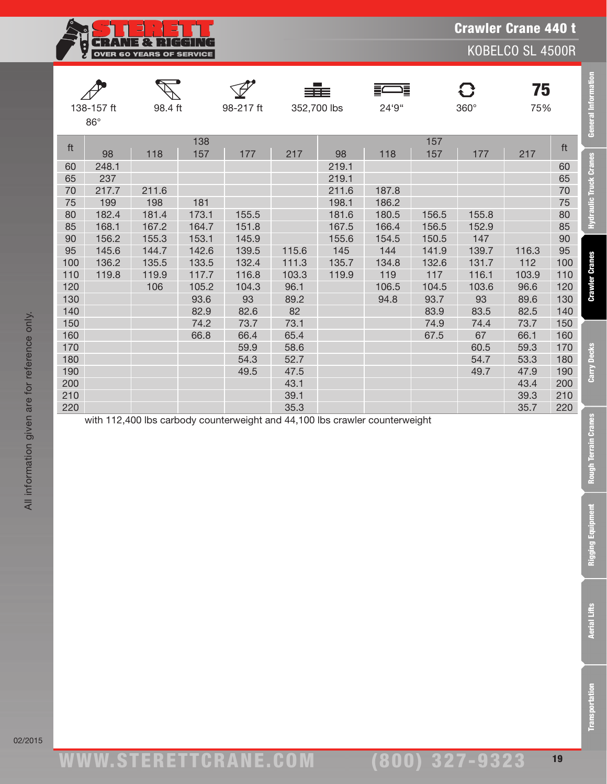

|     |              |         |       |           | 33 E        |       | 這     |       | $\mathbf G$ | 75    |     | <b>General Information</b> |
|-----|--------------|---------|-------|-----------|-------------|-------|-------|-------|-------------|-------|-----|----------------------------|
|     | 138-157 ft   | 98.4 ft |       | 98-217 ft | 352,700 lbs |       | 24'9" |       | $360^\circ$ | 75%   |     |                            |
|     | $86^{\circ}$ |         |       |           |             |       |       |       |             |       |     |                            |
| ft  |              |         | 138   |           |             |       |       | 157   |             |       | ft  |                            |
|     | 98           | 118     | 157   | 177       | 217         | 98    | 118   | 157   | 177         | 217   |     |                            |
| 60  | 248.1        |         |       |           |             | 219.1 |       |       |             |       | 60  |                            |
| 65  | 237          |         |       |           |             | 219.1 |       |       |             |       | 65  | Hydraulic Truck Cranes     |
| 70  | 217.7        | 211.6   |       |           |             | 211.6 | 187.8 |       |             |       | 70  |                            |
| 75  | 199          | 198     | 181   |           |             | 198.1 | 186.2 |       |             |       | 75  |                            |
| 80  | 182.4        | 181.4   | 173.1 | 155.5     |             | 181.6 | 180.5 | 156.5 | 155.8       |       | 80  |                            |
| 85  | 168.1        | 167.2   | 164.7 | 151.8     |             | 167.5 | 166.4 | 156.5 | 152.9       |       | 85  |                            |
| 90  | 156.2        | 155.3   | 153.1 | 145.9     |             | 155.6 | 154.5 | 150.5 | 147         |       | 90  |                            |
| 95  | 145.6        | 144.7   | 142.6 | 139.5     | 115.6       | 145   | 144   | 141.9 | 139.7       | 116.3 | 95  |                            |
| 100 | 136.2        | 135.5   | 133.5 | 132.4     | 111.3       | 135.7 | 134.8 | 132.6 | 131.7       | 112   | 100 | <b>Crawler Cranes</b>      |
| 110 | 119.8        | 119.9   | 117.7 | 116.8     | 103.3       | 119.9 | 119   | 117   | 116.1       | 103.9 | 110 |                            |
| 120 |              | 106     | 105.2 | 104.3     | 96.1        |       | 106.5 | 104.5 | 103.6       | 96.6  | 120 |                            |
| 130 |              |         | 93.6  | 93        | 89.2        |       | 94.8  | 93.7  | 93          | 89.6  | 130 |                            |
| 140 |              |         | 82.9  | 82.6      | 82          |       |       | 83.9  | 83.5        | 82.5  | 140 |                            |
| 150 |              |         | 74.2  | 73.7      | 73.1        |       |       | 74.9  | 74.4        | 73.7  | 150 |                            |
| 160 |              |         | 66.8  | 66.4      | 65.4        |       |       | 67.5  | 67          | 66.1  | 160 |                            |
| 170 |              |         |       | 59.9      | 58.6        |       |       |       | 60.5        | 59.3  | 170 |                            |
| 180 |              |         |       | 54.3      | 52.7        |       |       |       | 54.7        | 53.3  | 180 |                            |
| 190 |              |         |       | 49.5      | 47.5        |       |       |       | 49.7        | 47.9  | 190 | Carry Decks                |
| 200 |              |         |       |           | 43.1        |       |       |       |             | 43.4  | 200 |                            |
| 210 |              |         |       |           | 39.1        |       |       |       |             | 39.3  | 210 |                            |
| 220 |              |         |       |           | 35.3        |       |       |       |             | 35.7  | 220 |                            |

with 112,400 lbs carbody counterweight and 44,100 lbs crawler counterweight

**Rough Terrain Cranes**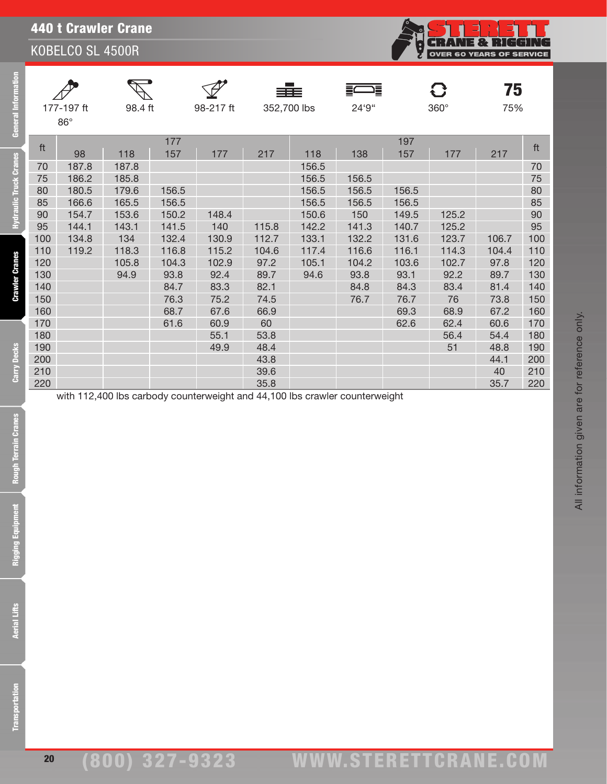## 440 t Crawler Crane

KOBELCO SL 4500R

| General Information           |     | 177-197 ft<br>$86^\circ$ | 98.4 ft |            | 98-217 ft |       | 352,700 lbs | 24'9"                                                                       |            | $360^\circ$ | 75<br>75% |        |
|-------------------------------|-----|--------------------------|---------|------------|-----------|-------|-------------|-----------------------------------------------------------------------------|------------|-------------|-----------|--------|
|                               | ft  | 98                       | 118     | 177<br>157 | 177       | 217   | 118         | 138                                                                         | 197<br>157 | 177         | 217       | ft     |
| <b>Hydraulic Truck Cranes</b> | 70  | 187.8                    | 187.8   |            |           |       | 156.5       |                                                                             |            |             |           | 70     |
|                               | 75  | 186.2                    | 185.8   |            |           |       | 156.5       | 156.5                                                                       |            |             |           | $75\,$ |
|                               | 80  | 180.5                    | 179.6   | 156.5      |           |       | 156.5       | 156.5                                                                       | 156.5      |             |           | 80     |
|                               | 85  | 166.6                    | 165.5   | 156.5      |           |       | 156.5       | 156.5                                                                       | 156.5      |             |           | 85     |
|                               | 90  | 154.7                    | 153.6   | 150.2      | 148.4     |       | 150.6       | 150                                                                         | 149.5      | 125.2       |           | $90\,$ |
|                               | 95  | 144.1                    | 143.1   | 141.5      | 140       | 115.8 | 142.2       | 141.3                                                                       | 140.7      | 125.2       |           | 95     |
|                               | 100 | 134.8                    | 134     | 132.4      | 130.9     | 112.7 | 133.1       | 132.2                                                                       | 131.6      | 123.7       | 106.7     | 100    |
|                               | 110 | 119.2                    | 118.3   | 116.8      | 115.2     | 104.6 | 117.4       | 116.6                                                                       | 116.1      | 114.3       | 104.4     | 110    |
|                               | 120 |                          | 105.8   | 104.3      | 102.9     | 97.2  | 105.1       | 104.2                                                                       | 103.6      | 102.7       | 97.8      | 120    |
|                               | 130 |                          | 94.9    | 93.8       | 92.4      | 89.7  | 94.6        | 93.8                                                                        | 93.1       | 92.2        | 89.7      | 130    |
| <b>Crawler Cranes</b>         | 140 |                          |         | 84.7       | 83.3      | 82.1  |             | 84.8                                                                        | 84.3       | 83.4        | 81.4      | 140    |
|                               | 150 |                          |         | 76.3       | 75.2      | 74.5  |             | 76.7                                                                        | 76.7       | 76          | 73.8      | 150    |
|                               | 160 |                          |         | 68.7       | 67.6      | 66.9  |             |                                                                             | 69.3       | 68.9        | 67.2      | 160    |
|                               | 170 |                          |         | 61.6       | 60.9      | 60    |             |                                                                             | 62.6       | 62.4        | 60.6      | 170    |
|                               | 180 |                          |         |            | 55.1      | 53.8  |             |                                                                             |            | 56.4        | 54.4      | 180    |
|                               | 190 |                          |         |            | 49.9      | 48.4  |             |                                                                             |            | 51          | 48.8      | 190    |
|                               | 200 |                          |         |            |           | 43.8  |             |                                                                             |            |             | 44.1      | 200    |
| Carry Decks                   | 210 |                          |         |            |           | 39.6  |             |                                                                             |            |             | 40        | 210    |
|                               | 220 |                          |         |            |           | 35.8  |             | with 112,400 lbs carbody counterweight and 44,100 lbs crawler counterweight |            |             | 35.7      | 220    |
| Rough Terrain Cranes          |     |                          |         |            |           |       |             |                                                                             |            |             |           |        |
| E<br>Rigging Equipm           |     |                          |         |            |           |       |             |                                                                             |            |             |           |        |
| <b>Aerial Lifts</b>           |     |                          |         |            |           |       |             |                                                                             |            |             |           |        |
| ransportation                 |     |                          |         |            |           |       |             |                                                                             |            |             |           |        |

**CRANE & RIGGING**<br>OVER 60 YEARS OF SERVICE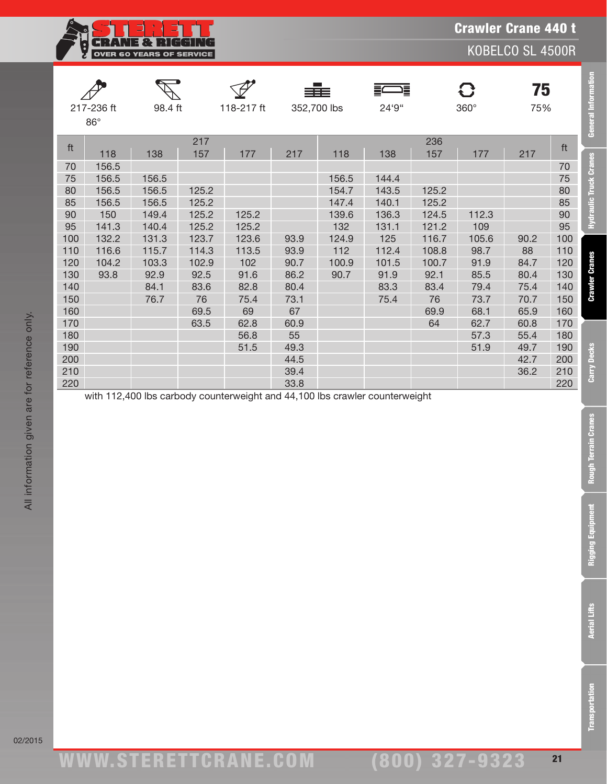

|     |              |         |       |            |      | ≡≡≡         | 這     |       | $\mathbf G$ | 75   |     | <b>General Information</b>    |
|-----|--------------|---------|-------|------------|------|-------------|-------|-------|-------------|------|-----|-------------------------------|
|     | 217-236 ft   | 98.4 ft |       | 118-217 ft |      | 352,700 lbs | 24'9" |       | $360^\circ$ | 75%  |     |                               |
|     | $86^{\circ}$ |         |       |            |      |             |       |       |             |      |     |                               |
|     |              |         | 217   |            |      |             |       | 236   |             |      | ft  |                               |
| ft  | 118          | 138     | 157   | 177        | 217  | 118         | 138   | 157   | 177         | 217  |     |                               |
| 70  | 156.5        |         |       |            |      |             |       |       |             |      | 70  | <b>Hydraulic Truck Cranes</b> |
| 75  | 156.5        | 156.5   |       |            |      | 156.5       | 144.4 |       |             |      | 75  |                               |
| 80  | 156.5        | 156.5   | 125.2 |            |      | 154.7       | 143.5 | 125.2 |             |      | 80  |                               |
| 85  | 156.5        | 156.5   | 125.2 |            |      | 147.4       | 140.1 | 125.2 |             |      | 85  |                               |
| 90  | 150          | 149.4   | 125.2 | 125.2      |      | 139.6       | 136.3 | 124.5 | 112.3       |      | 90  |                               |
| 95  | 141.3        | 140.4   | 125.2 | 125.2      |      | 132         | 131.1 | 121.2 | 109         |      | 95  |                               |
| 100 | 132.2        | 131.3   | 123.7 | 123.6      | 93.9 | 124.9       | 125   | 116.7 | 105.6       | 90.2 | 100 |                               |
| 110 | 116.6        | 115.7   | 114.3 | 113.5      | 93.9 | 112         | 112.4 | 108.8 | 98.7        | 88   | 110 |                               |
| 120 | 104.2        | 103.3   | 102.9 | 102        | 90.7 | 100.9       | 101.5 | 100.7 | 91.9        | 84.7 | 120 |                               |
| 130 | 93.8         | 92.9    | 92.5  | 91.6       | 86.2 | 90.7        | 91.9  | 92.1  | 85.5        | 80.4 | 130 |                               |
| 140 |              | 84.1    | 83.6  | 82.8       | 80.4 |             | 83.3  | 83.4  | 79.4        | 75.4 | 140 | <b>Crawler Cranes</b>         |
| 150 |              | 76.7    | 76    | 75.4       | 73.1 |             | 75.4  | 76    | 73.7        | 70.7 | 150 |                               |
| 160 |              |         | 69.5  | 69         | 67   |             |       | 69.9  | 68.1        | 65.9 | 160 |                               |
| 170 |              |         | 63.5  | 62.8       | 60.9 |             |       | 64    | 62.7        | 60.8 | 170 |                               |
| 180 |              |         |       | 56.8       | 55   |             |       |       | 57.3        | 55.4 | 180 |                               |
| 190 |              |         |       | 51.5       | 49.3 |             |       |       | 51.9        | 49.7 | 190 |                               |
| 200 |              |         |       |            | 44.5 |             |       |       |             | 42.7 | 200 |                               |
| 210 |              |         |       |            | 39.4 |             |       |       |             | 36.2 | 210 | <b>Carry Decks</b>            |
| 220 |              |         |       |            | 33.8 |             |       |       |             |      | 220 |                               |

with 112,400 lbs carbody counterweight and 44,100 lbs crawler counterweight

**Rough Terrain Cranes** 

**Rigging Equipment** 

**Transportation**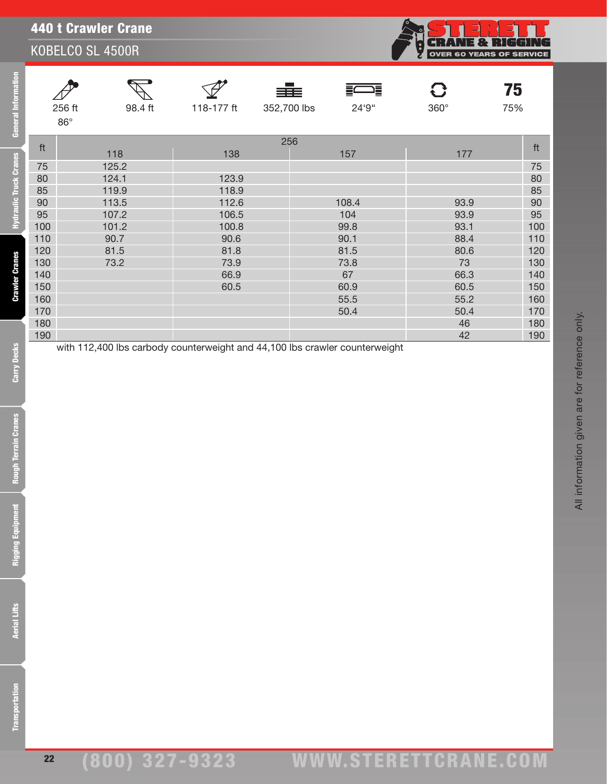|     | <b>TTO L OI AWICI OI AIIU</b><br>KOBELCO SL 4500R |            |                    |            | 1É.<br>н<br>$\ddot{\cdot}$ | NG<br>Ħ<br>Н<br><b>OVER 60 YEARS OF SERVICE</b> |
|-----|---------------------------------------------------|------------|--------------------|------------|----------------------------|-------------------------------------------------|
|     | 256 ft<br>98.4 ft<br>$86^{\circ}$                 | 118-177 ft | ≣≣≣<br>352,700 lbs | 這<br>24'9" | $360^\circ$                | 75<br>75%                                       |
| ft  |                                                   |            | 256                |            |                            | ft                                              |
|     | 118                                               | 138        |                    | 157        | 177                        |                                                 |
| 75  | 125.2                                             |            |                    |            |                            | 75                                              |
| 80  | 124.1                                             | 123.9      |                    |            |                            | 80                                              |
| 85  | 119.9                                             | 118.9      |                    |            |                            | 85                                              |
| 90  | 113.5                                             | 112.6      |                    | 108.4      | 93.9                       | 90                                              |
| 95  | 107.2                                             | 106.5      |                    | 104        | 93.9                       | 95                                              |
| 100 | 101.2                                             | 100.8      |                    | 99.8       | 93.1                       | 100                                             |
| 110 | 90.7                                              | 90.6       |                    | 90.1       | 88.4                       | 110                                             |
| 120 | 81.5                                              | 81.8       |                    | 81.5       | 80.6                       | 120                                             |
| 130 | 73.2                                              | 73.9       |                    | 73.8       | 73                         | 130                                             |
| 140 |                                                   | 66.9       |                    | 67         | 66.3                       | 140                                             |
| 150 |                                                   | 60.5       |                    | 60.9       | 60.5                       | 150                                             |
| 160 |                                                   |            |                    | 55.5       | 55.2                       | 160                                             |
| 170 |                                                   |            |                    | 50.4       | 50.4                       | 170                                             |
| 180 |                                                   |            |                    |            | 46                         | 180                                             |
| 190 |                                                   |            |                    |            | 42                         | 190                                             |

with 112,400 lbs carbody counterweight and 44,100 lbs crawler counterweight

440 t Crawler Crane

22

. H

All information given are for reference only.

All information given are for reference only.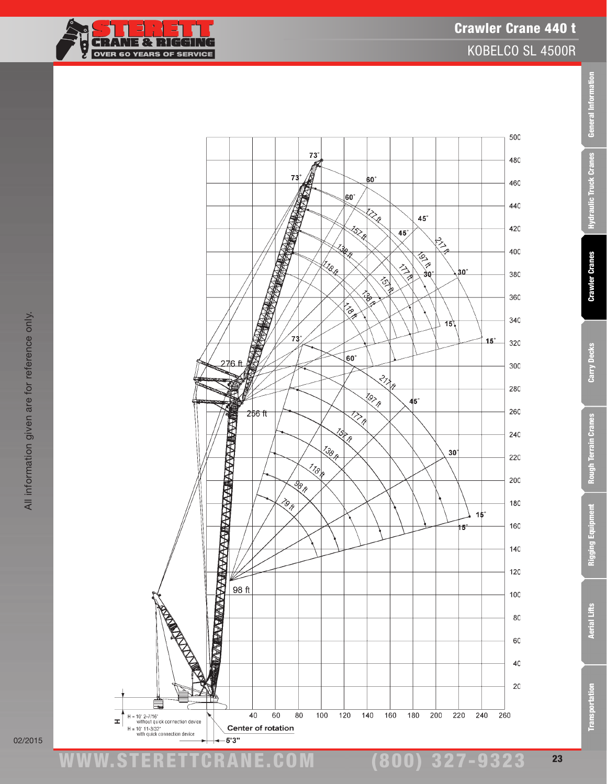TF



02/2015

ww.TDKv.com www.STERETTCRAnE.Com

(800) 327-9323

Transportation Aerial Lifts Rigging Equipment Rough Terrain Cranes Carry Decks Crawler Cranes Hydraulic Truck Cranes General Information

**Rough Terrain Cranes** 

Rigging Equipment

**Aerial Lifts** 

**Transportation** 

Carry Decks

General Information

**Hydraulic Truck Cranes** 

**Crawler Cranes**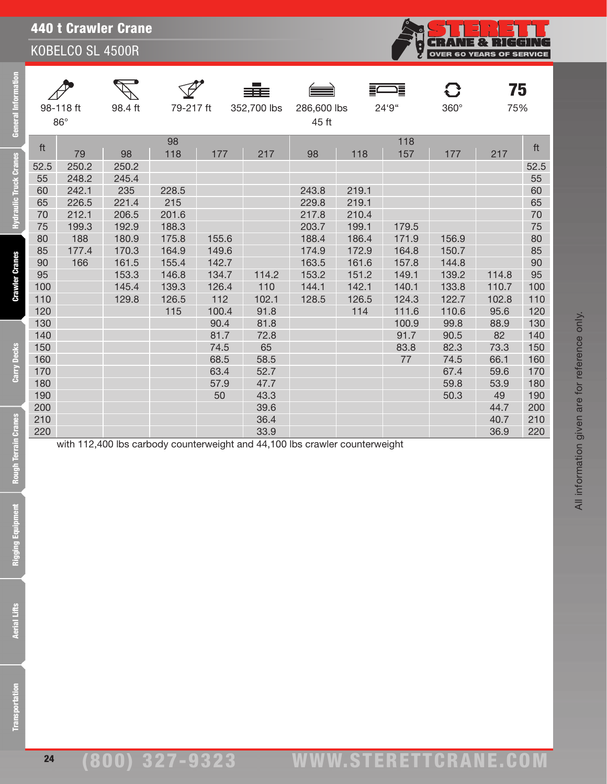| <b>General Information</b>    |                   | 98-118 ft<br>$86^\circ$ | 98.4 ft                 | 79-217 ft               |                         | 352,700 lbs           | 286,600 lbs<br>45 ft                                                        |                         | 24'9"                           | $360^\circ$             | 75<br>75%               |                          |
|-------------------------------|-------------------|-------------------------|-------------------------|-------------------------|-------------------------|-----------------------|-----------------------------------------------------------------------------|-------------------------|---------------------------------|-------------------------|-------------------------|--------------------------|
|                               | ft                | 79                      | 98                      | 98<br>118               | 177                     | 217                   | 98                                                                          | 118                     | 118<br>157                      | 177                     | 217                     | ft                       |
| <b>Hydraulic Truck Cranes</b> | 52.5<br>55<br>60  | 250.2<br>248.2<br>242.1 | 250.2<br>245.4<br>235   | 228.5                   |                         |                       | 243.8                                                                       | 219.1                   |                                 |                         |                         | 52.5<br>55<br>60         |
|                               | 65<br>70<br>75    | 226.5<br>212.1<br>199.3 | 221.4<br>206.5<br>192.9 | 215<br>201.6<br>188.3   |                         |                       | 229.8<br>217.8<br>203.7                                                     | 219.1<br>210.4<br>199.1 | 179.5                           |                         |                         | 65<br>70<br>75           |
|                               | 80<br>85<br>90    | 188<br>177.4<br>166     | 180.9<br>170.3<br>161.5 | 175.8<br>164.9<br>155.4 | 155.6<br>149.6<br>142.7 |                       | 188.4<br>174.9<br>163.5                                                     | 186.4<br>172.9<br>161.6 | 171.9<br>164.8<br>157.8         | 156.9<br>150.7<br>144.8 |                         | 80<br>85<br>90           |
| <b>Crawler Cranes</b>         | 95<br>100<br>110  |                         | 153.3<br>145.4<br>129.8 | 146.8<br>139.3<br>126.5 | 134.7<br>126.4<br>112   | 114.2<br>110<br>102.1 | 153.2<br>144.1<br>128.5                                                     | 151.2<br>142.1<br>126.5 | 149.1<br>140.1                  | 139.2<br>133.8<br>122.7 | 114.8<br>110.7<br>102.8 | 95<br>100                |
|                               | 120<br>130<br>140 |                         |                         | 115                     | 100.4<br>90.4<br>81.7   | 91.8<br>81.8<br>72.8  |                                                                             | 114                     | 124.3<br>111.6<br>100.9<br>91.7 | 110.6<br>99.8<br>90.5   | 95.6<br>88.9<br>82      | 110<br>120<br>130<br>140 |
| Carry Decks                   | 150<br>160<br>170 |                         |                         |                         | 74.5<br>68.5<br>63.4    | 65<br>58.5<br>52.7    |                                                                             |                         | 83.8<br>77                      | 82.3<br>74.5<br>67.4    | 73.3<br>66.1<br>59.6    | 150<br>160<br>170        |
|                               | 180<br>190<br>200 |                         |                         |                         | 57.9<br>50              | 47.7<br>43.3<br>39.6  |                                                                             |                         |                                 | 59.8<br>50.3            | 53.9<br>49<br>44.7      | 180<br>190<br>200        |
| <b>Rough Terrain Cranes</b>   | 210<br>220        |                         |                         |                         |                         | 36.4<br>33.9          | with 112,400 lbs carbody counterweight and 44,100 lbs crawler counterweight |                         |                                 |                         | 40.7<br>36.9            | 210<br>220               |
| <b>Rigging Equipment</b>      |                   |                         |                         |                         |                         |                       |                                                                             |                         |                                 |                         |                         |                          |
| <b>Aerial Lifts</b>           |                   |                         |                         |                         |                         |                       |                                                                             |                         |                                 |                         |                         |                          |
| <b>Transportation</b>         |                   |                         |                         |                         |                         |                       |                                                                             |                         |                                 |                         |                         |                          |

**CRANE & RIGGING**<br>OVER 60 YEARS OF SERVICE

်<br>မ

**Aerial Lifts**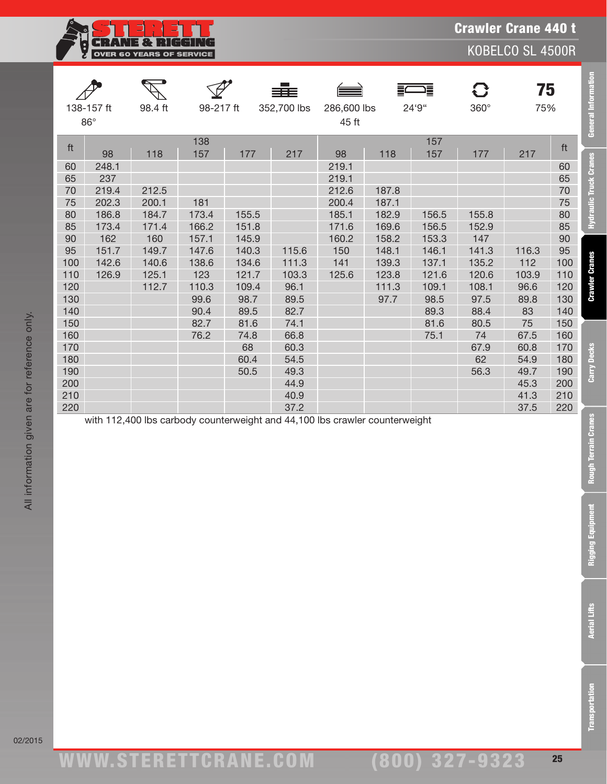**CRANE & RIGGING**<br>OVER 60 YEARS OF SERVICE ģ

Crawler Crane 440 t

KOBELCO SL 4500R

Transportation Aerial Lifts Rigging Equipment Rough Terrain Cranes Carry Decks Crawler Cranes Hydraulic Truck Cranes General Information

**Rigging Equipment** 

**Aerial Lifts** 

**Transportation** 

|          | 138-157 ft<br>$86^\circ$ | 98.4 ft        | 98-217 ft |       | 352,700 lbs | 286,600 lbs<br>45 ft                                                        |                | 24'9" | 360°  | 75<br>75% |          | General Information           |
|----------|--------------------------|----------------|-----------|-------|-------------|-----------------------------------------------------------------------------|----------------|-------|-------|-----------|----------|-------------------------------|
| ft       |                          |                | 138       |       |             |                                                                             |                | 157   |       |           | ft       |                               |
|          | 98                       | 118            | 157       | 177   | 217         | 98                                                                          | 118            | 157   | 177   | 217       |          |                               |
| 60       | 248.1                    |                |           |       |             | 219.1                                                                       |                |       |       |           | 60       | <b>Hydraulic Truck Cranes</b> |
| 65       | 237                      |                |           |       |             | 219.1                                                                       |                |       |       |           | 65       |                               |
| 70<br>75 | 219.4<br>202.3           | 212.5<br>200.1 | 181       |       |             | 212.6<br>200.4                                                              | 187.8<br>187.1 |       |       |           | 70<br>75 |                               |
| 80       | 186.8                    | 184.7          | 173.4     | 155.5 |             | 185.1                                                                       | 182.9          | 156.5 | 155.8 |           | 80       |                               |
| 85       | 173.4                    | 171.4          | 166.2     | 151.8 |             | 171.6                                                                       | 169.6          | 156.5 | 152.9 |           | 85       |                               |
| 90       | 162                      | 160            | 157.1     | 145.9 |             | 160.2                                                                       | 158.2          | 153.3 | 147   |           | 90       |                               |
| 95       | 151.7                    | 149.7          | 147.6     | 140.3 | 115.6       | 150                                                                         | 148.1          | 146.1 | 141.3 | 116.3     | 95       |                               |
| 100      | 142.6                    | 140.6          | 138.6     | 134.6 | 111.3       | 141                                                                         | 139.3          | 137.1 | 135.2 | 112       | 100      | <b>Crawler Cranes</b>         |
| 110      | 126.9                    | 125.1          | 123       | 121.7 | 103.3       | 125.6                                                                       | 123.8          | 121.6 | 120.6 | 103.9     | 110      |                               |
| 120      |                          | 112.7          | 110.3     | 109.4 | 96.1        |                                                                             | 111.3          | 109.1 | 108.1 | 96.6      | 120      |                               |
| 130      |                          |                | 99.6      | 98.7  | 89.5        |                                                                             | 97.7           | 98.5  | 97.5  | 89.8      | 130      |                               |
| 140      |                          |                | 90.4      | 89.5  | 82.7        |                                                                             |                | 89.3  | 88.4  | 83        | 140      |                               |
| 150      |                          |                | 82.7      | 81.6  | 74.1        |                                                                             |                | 81.6  | 80.5  | 75        | 150      |                               |
| 160      |                          |                | 76.2      | 74.8  | 66.8        |                                                                             |                | 75.1  | 74    | 67.5      | 160      |                               |
| 170      |                          |                |           | 68    | 60.3        |                                                                             |                |       | 67.9  | 60.8      | 170      |                               |
| 180      |                          |                |           | 60.4  | 54.5        |                                                                             |                |       | 62    | 54.9      | 180      |                               |
| 190      |                          |                |           | 50.5  | 49.3        |                                                                             |                |       | 56.3  | 49.7      | 190      | Carry Decks                   |
| 200      |                          |                |           |       | 44.9        |                                                                             |                |       |       | 45.3      | 200      |                               |
| 210      |                          |                |           |       | 40.9        |                                                                             |                |       |       | 41.3      | 210      |                               |
| 220      |                          |                |           |       | 37.2        |                                                                             |                |       |       | 37.5      | 220      |                               |
|          |                          |                |           |       |             | with 112,400 lbs carbody counterweight and 44,100 lbs crawler counterweight |                |       |       |           |          | Rough Terrain Cranes          |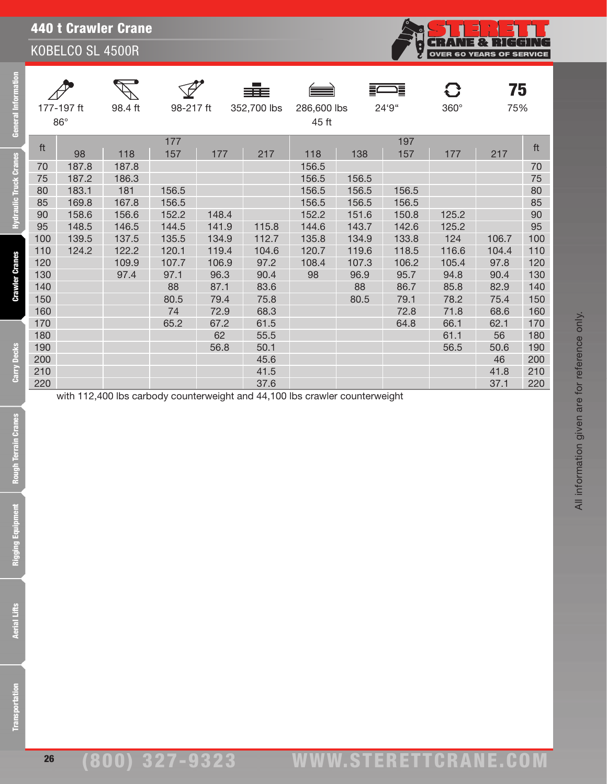| ormation<br>General   |            | 177-197 ft<br>$86^\circ$ | 98.4 ft | 98-217 ft  |              | 352,700 lbs  | 286,600 lbs<br>45 ft |       | 24'9"        | 360°         | 75<br>75%    |            |
|-----------------------|------------|--------------------------|---------|------------|--------------|--------------|----------------------|-------|--------------|--------------|--------------|------------|
|                       | ft         |                          |         | 177        |              |              |                      |       | 197          |              |              | ft         |
|                       |            | 98                       | 118     | 157        | 177          | 217          | 118                  | 138   | 157          | 177          | 217          |            |
|                       | 70         | 187.8                    | 187.8   |            |              |              | 156.5                |       |              |              |              | 70         |
|                       | 75         | 187.2                    | 186.3   |            |              |              | 156.5                | 156.5 |              |              |              | 75         |
| draulic Truck Cranes  | 80         | 183.1                    | 181     | 156.5      |              |              | 156.5                | 156.5 | 156.5        |              |              | 80         |
|                       | 85         | 169.8                    | 167.8   | 156.5      |              |              | 156.5                | 156.5 | 156.5        |              |              | 85         |
|                       | 90         | 158.6                    | 156.6   | 152.2      | 148.4        |              | 152.2                | 151.6 | 150.8        | 125.2        |              | 90         |
| 5                     | 95         | 148.5                    | 146.5   | 144.5      | 141.9        | 115.8        | 144.6                | 143.7 | 142.6        | 125.2        |              | 95         |
|                       | 100        | 139.5                    | 137.5   | 135.5      | 134.9        | 112.7        | 135.8                | 134.9 | 133.8        | 124          | 106.7        | 100        |
|                       | 110        | 124.2                    | 122.2   | 120.1      | 119.4        | 104.6        | 120.7                | 119.6 | 118.5        | 116.6        | 104.4        | 110        |
|                       | 120        |                          | 109.9   | 107.7      | 106.9        | 97.2         | 108.4                | 107.3 | 106.2        | 105.4        | 97.8         | 120        |
|                       | 130        |                          | 97.4    | 97.1       | 96.3         | 90.4         | 98                   | 96.9  | 95.7         | 94.8         | 90.4         | 130        |
| <b>Crawler Cranes</b> | 140        |                          |         | 88         | 87.1         | 83.6         |                      | 88    | 86.7         | 85.8         | 82.9         | 140        |
|                       | 150<br>160 |                          |         | 80.5<br>74 | 79.4<br>72.9 | 75.8<br>68.3 |                      | 80.5  | 79.1<br>72.8 | 78.2         | 75.4<br>68.6 | 150        |
|                       | 170        |                          |         | 65.2       | 67.2         | 61.5         |                      |       | 64.8         | 71.8<br>66.1 | 62.1         | 160<br>170 |
|                       | 180        |                          |         |            | 62           | 55.5         |                      |       |              | 61.1         | 56           | 180        |
|                       | 190        |                          |         |            | 56.8         | 50.1         |                      |       |              | 56.5         | 50.6         | 190        |
| Carry Decks           | 200        |                          |         |            |              | 45.6         |                      |       |              |              | 46           | 200        |
|                       | 210        |                          |         |            |              | 41.5         |                      |       |              |              | 41.8         | 210        |
|                       | 220        |                          |         |            |              | 37.6         |                      |       |              |              | 37.1         | 220        |
| <b>Cranes</b>         |            |                          |         |            |              |              |                      |       |              |              |              |            |
| Rigging Equipm        |            |                          |         |            |              |              |                      |       |              |              |              |            |
| <b>Aerial Lifts</b>   |            |                          |         |            |              |              |                      |       |              |              |              |            |

26

**CRANE & RIGGING**<br>OVER 60 YEARS OF SERVICE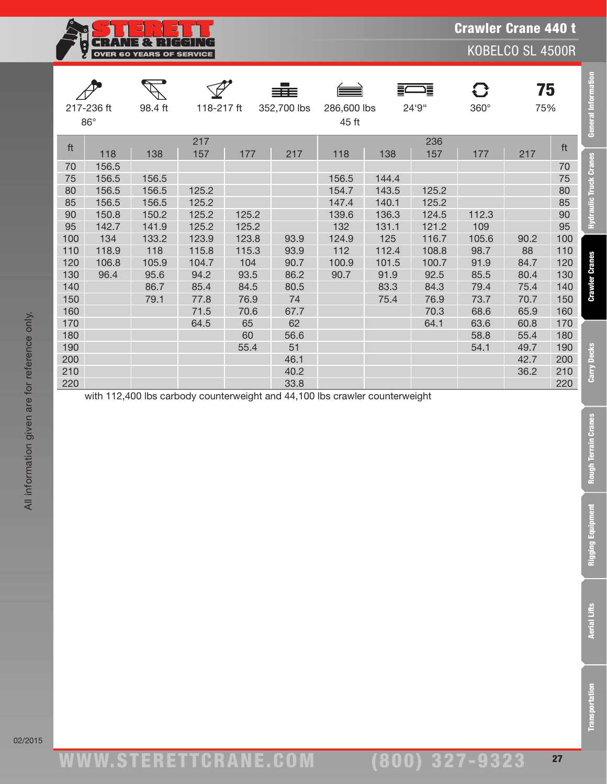NE & RI GGT.  $\lceil \cdot \rceil$ G OVER 60 YEARS OF SERVICE

KOBELCO SL 4500R

Transportation Aerial Lifts Rigging Equipment Rough Terrain Cranes Carry Decks Crawler Cranes Hydraulic Truck Cranes General Information

**Rough Terrain Cranes** 

**Rigging Equipment** 

**Aerial Lifts** 

**Transportation** 

|     |            |         |            |       | ≡≡≡         |             |       | 這     | 8           | 75   |     | <b>General Information</b>    |
|-----|------------|---------|------------|-------|-------------|-------------|-------|-------|-------------|------|-----|-------------------------------|
|     | 217-236 ft | 98.4 ft | 118-217 ft |       | 352,700 lbs | 286,600 lbs |       | 24'9" | $360^\circ$ | 75%  |     |                               |
|     | $86^\circ$ |         |            |       |             | 45 ft       |       |       |             |      |     |                               |
| ft  |            |         | 217        |       |             |             |       | 236   |             |      | ft  |                               |
|     | 118        | 138     | 157        | 177   | 217         | 118         | 138   | 157   | 177         | 217  |     |                               |
| 70  | 156.5      |         |            |       |             |             |       |       |             |      | 70  | <b>Hydraulic Truck Cranes</b> |
| 75  | 156.5      | 156.5   |            |       |             | 156.5       | 144.4 |       |             |      | 75  |                               |
| 80  | 156.5      | 156.5   | 125.2      |       |             | 154.7       | 143.5 | 125.2 |             |      | 80  |                               |
| 85  | 156.5      | 156.5   | 125.2      |       |             | 147.4       | 140.1 | 125.2 |             |      | 85  |                               |
| 90  | 150.8      | 150.2   | 125.2      | 125.2 |             | 139.6       | 136.3 | 124.5 | 112.3       |      | 90  |                               |
| 95  | 142.7      | 141.9   | 125.2      | 125.2 |             | 132         | 131.1 | 121.2 | 109         |      | 95  |                               |
| 100 | 134        | 133.2   | 123.9      | 123.8 | 93.9        | 124.9       | 125   | 116.7 | 105.6       | 90.2 | 100 |                               |
| 110 | 118.9      | 118     | 115.8      | 115.3 | 93.9        | 112         | 112.4 | 108.8 | 98.7        | 88   | 110 |                               |
| 120 | 106.8      | 105.9   | 104.7      | 104   | 90.7        | 100.9       | 101.5 | 100.7 | 91.9        | 84.7 | 120 |                               |
| 130 | 96.4       | 95.6    | 94.2       | 93.5  | 86.2        | 90.7        | 91.9  | 92.5  | 85.5        | 80.4 | 130 | <b>Crawler Cranes</b>         |
| 140 |            | 86.7    | 85.4       | 84.5  | 80.5        |             | 83.3  | 84.3  | 79.4        | 75.4 | 140 |                               |
| 150 |            | 79.1    | 77.8       | 76.9  | 74          |             | 75.4  | 76.9  | 73.7        | 70.7 | 150 |                               |
| 160 |            |         | 71.5       | 70.6  | 67.7        |             |       | 70.3  | 68.6        | 65.9 | 160 |                               |
| 170 |            |         | 64.5       | 65    | 62          |             |       | 64.1  | 63.6        | 60.8 | 170 |                               |
| 180 |            |         |            | 60    | 56.6        |             |       |       | 58.8        | 55.4 | 180 |                               |
| 190 |            |         |            | 55.4  | 51          |             |       |       | 54.1        | 49.7 | 190 |                               |
| 200 |            |         |            |       | 46.1        |             |       |       |             | 42.7 | 200 | Carry Decks                   |
| 210 |            |         |            |       | 40.2        |             |       |       |             | 36.2 | 210 |                               |
| 220 |            |         |            |       | 33.8        |             |       |       |             |      | 220 |                               |

with 112,400 lbs carbody counterweight and 44,100 lbs crawler counterweight